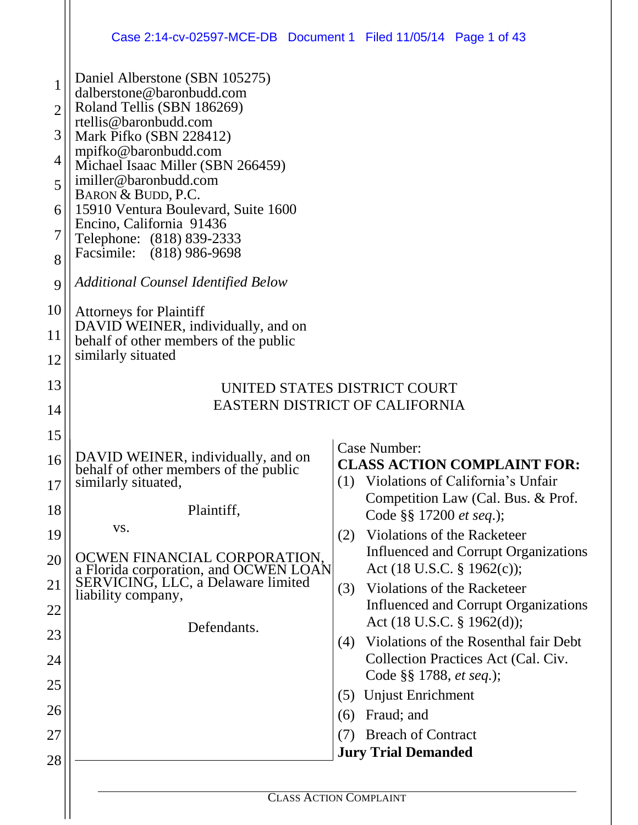|                | Case 2:14-cv-02597-MCE-DB  Document 1  Filed 11/05/14  Page 1 of 43         |                                                                                   |  |  |  |
|----------------|-----------------------------------------------------------------------------|-----------------------------------------------------------------------------------|--|--|--|
| 1              | Daniel Alberstone (SBN 105275)<br>dalberstone@baronbudd.com                 |                                                                                   |  |  |  |
| $\overline{2}$ | Roland Tellis (SBN 186269)<br>rtellis@baronbudd.com                         |                                                                                   |  |  |  |
| 3              | Mark Pifko (SBN 228412)<br>mpifko@baronbudd.com                             |                                                                                   |  |  |  |
| $\overline{4}$ | Michael Isaac Miller (SBN 266459)                                           |                                                                                   |  |  |  |
| 5              | imiller@baronbudd.com<br>BARON & BUDD, P.C.                                 |                                                                                   |  |  |  |
| 6              | 15910 Ventura Boulevard, Suite 1600                                         |                                                                                   |  |  |  |
| 7              | Encino, California 91436<br>Telephone: (818) 839-2333                       |                                                                                   |  |  |  |
| 8              | Facsimile: (818) 986-9698                                                   |                                                                                   |  |  |  |
| 9              | <b>Additional Counsel Identified Below</b>                                  |                                                                                   |  |  |  |
| 10             | <b>Attorneys for Plaintiff</b>                                              |                                                                                   |  |  |  |
| 11             | DAVID WEINER, individually, and on<br>behalf of other members of the public |                                                                                   |  |  |  |
| 12             | similarly situated                                                          |                                                                                   |  |  |  |
| 13             |                                                                             | UNITED STATES DISTRICT COURT                                                      |  |  |  |
| 14             |                                                                             | EASTERN DISTRICT OF CALIFORNIA                                                    |  |  |  |
| 15             |                                                                             |                                                                                   |  |  |  |
| 16             | DAVID WEINER, individually, and on                                          | <b>Case Number:</b><br><b>CLASS ACTION COMPLAINT FOR:</b>                         |  |  |  |
| 17             | behalf of other members of the public<br>similarly situated,                | (1) Violations of California's Unfair                                             |  |  |  |
| 18             | Plaintiff,                                                                  | Competition Law (Cal. Bus. & Prof.                                                |  |  |  |
| 19             | VS.                                                                         | Code §§ 17200 <i>et seq.</i> );<br>Violations of the Racketeer<br>(2)             |  |  |  |
|                | OCWEN FINANCIAL CORPORATION,                                                | <b>Influenced and Corrupt Organizations</b>                                       |  |  |  |
| 20             | a Florida corporation, and OCWEN LOAN                                       | Act (18 U.S.C. § 1962(c));                                                        |  |  |  |
| 21             | SERVICING, LLC, a Delaware limited<br>liability company,                    | Violations of the Racketeer<br>(3)<br><b>Influenced and Corrupt Organizations</b> |  |  |  |
| 22             | Defendants.                                                                 | Act (18 U.S.C. § 1962(d));                                                        |  |  |  |
| 23             |                                                                             | Violations of the Rosenthal fair Debt<br>(4)                                      |  |  |  |
| 24             |                                                                             | Collection Practices Act (Cal. Civ.<br>Code §§ 1788, et seq.);                    |  |  |  |
| 25             |                                                                             | Unjust Enrichment<br>(5)                                                          |  |  |  |
| 26             |                                                                             | Fraud; and<br>(6)                                                                 |  |  |  |
| 27             |                                                                             | <b>Breach of Contract</b><br>(7)                                                  |  |  |  |
| 28             |                                                                             | <b>Jury Trial Demanded</b>                                                        |  |  |  |
|                |                                                                             |                                                                                   |  |  |  |
|                |                                                                             | <b>CLASS ACTION COMPLAINT</b>                                                     |  |  |  |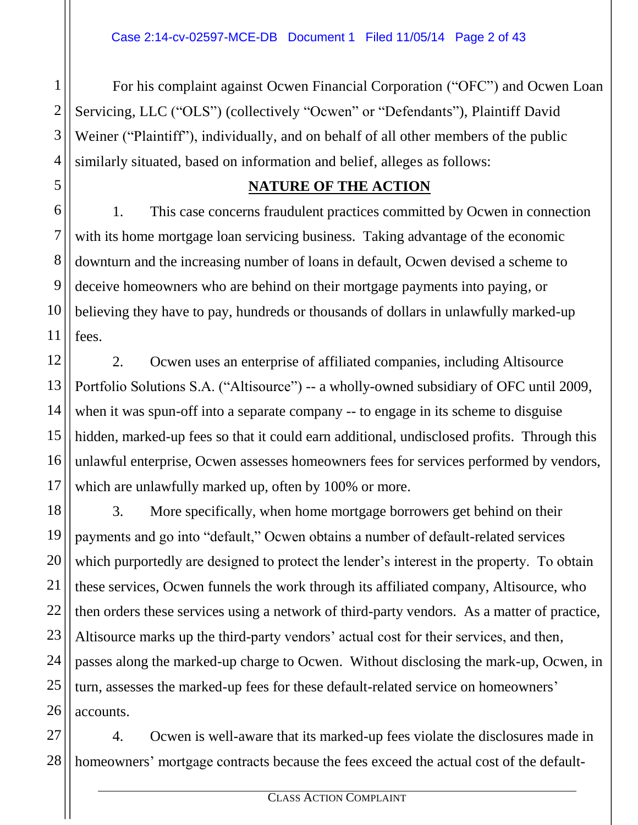For his complaint against Ocwen Financial Corporation ("OFC") and Ocwen Loan Servicing, LLC ("OLS") (collectively "Ocwen" or "Defendants"), Plaintiff David Weiner ("Plaintiff"), individually, and on behalf of all other members of the public similarly situated, based on information and belief, alleges as follows:

#### **NATURE OF THE ACTION**

1. This case concerns fraudulent practices committed by Ocwen in connection with its home mortgage loan servicing business. Taking advantage of the economic downturn and the increasing number of loans in default, Ocwen devised a scheme to deceive homeowners who are behind on their mortgage payments into paying, or believing they have to pay, hundreds or thousands of dollars in unlawfully marked-up fees.

2. Ocwen uses an enterprise of affiliated companies, including Altisource Portfolio Solutions S.A. ("Altisource") -- a wholly-owned subsidiary of OFC until 2009, when it was spun-off into a separate company -- to engage in its scheme to disguise hidden, marked-up fees so that it could earn additional, undisclosed profits. Through this unlawful enterprise, Ocwen assesses homeowners fees for services performed by vendors, which are unlawfully marked up, often by 100% or more.

3. More specifically, when home mortgage borrowers get behind on their payments and go into "default," Ocwen obtains a number of default-related services which purportedly are designed to protect the lender's interest in the property. To obtain these services, Ocwen funnels the work through its affiliated company, Altisource, who then orders these services using a network of third-party vendors. As a matter of practice, Altisource marks up the third-party vendors' actual cost for their services, and then, passes along the marked-up charge to Ocwen. Without disclosing the mark-up, Ocwen, in turn, assesses the marked-up fees for these default-related service on homeowners' accounts.

4. Ocwen is well-aware that its marked-up fees violate the disclosures made in homeowners' mortgage contracts because the fees exceed the actual cost of the default-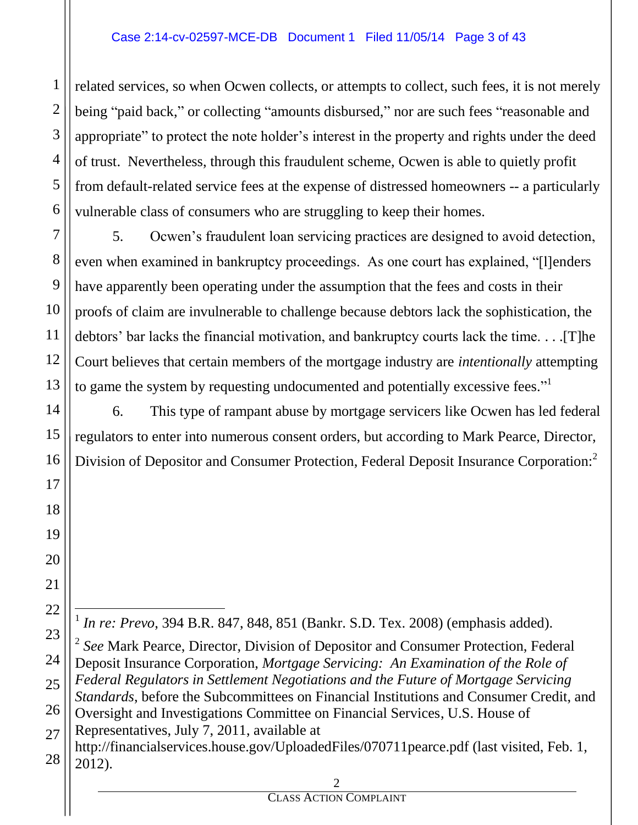related services, so when Ocwen collects, or attempts to collect, such fees, it is not merely being "paid back," or collecting "amounts disbursed," nor are such fees "reasonable and appropriate" to protect the note holder's interest in the property and rights under the deed of trust. Nevertheless, through this fraudulent scheme, Ocwen is able to quietly profit from default-related service fees at the expense of distressed homeowners -- a particularly vulnerable class of consumers who are struggling to keep their homes.

5. Ocwen's fraudulent loan servicing practices are designed to avoid detection, even when examined in bankruptcy proceedings. As one court has explained, "[l]enders have apparently been operating under the assumption that the fees and costs in their proofs of claim are invulnerable to challenge because debtors lack the sophistication, the debtors' bar lacks the financial motivation, and bankruptcy courts lack the time. . . .[T]he Court believes that certain members of the mortgage industry are *intentionally* attempting to game the system by requesting undocumented and potentially excessive fees."<sup>1</sup>

6. This type of rampant abuse by mortgage servicers like Ocwen has led federal regulators to enter into numerous consent orders, but according to Mark Pearce, Director, Division of Depositor and Consumer Protection, Federal Deposit Insurance Corporation:<sup>2</sup>

<sup>1</sup> In re: Prevo, 394 B.R. 847, 848, 851 (Bankr. S.D. Tex. 2008) (emphasis added).

2 *See* Mark Pearce, Director, Division of Depositor and Consumer Protection, Federal Deposit Insurance Corporation, *Mortgage Servicing: An Examination of the Role of Federal Regulators in Settlement Negotiations and the Future of Mortgage Servicing Standards*, before the Subcommittees on Financial Institutions and Consumer Credit, and Oversight and Investigations Committee on Financial Services, U.S. House of Representatives, July 7, 2011, available at http://financialservices.house.gov/UploadedFiles/070711pearce.pdf (last visited, Feb. 1, 2012).

 $\overline{a}$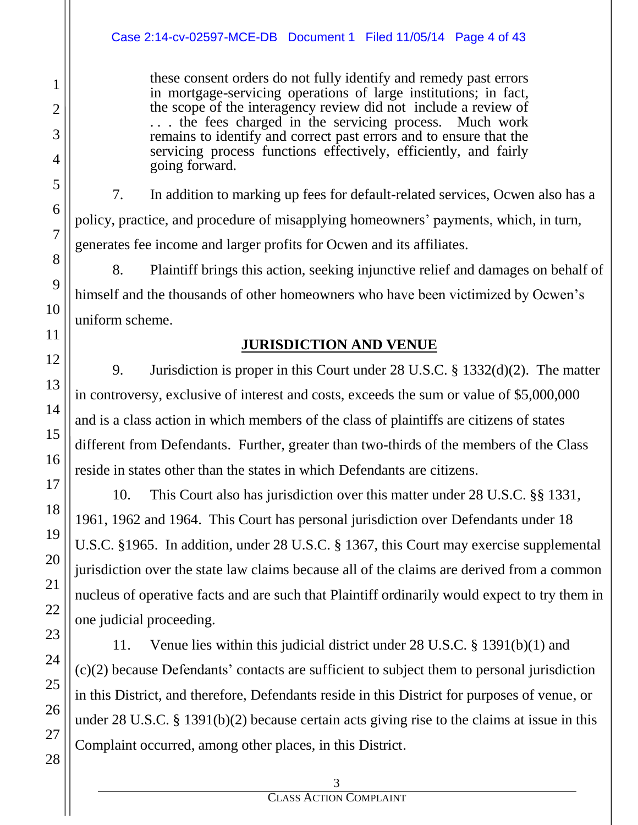these consent orders do not fully identify and remedy past errors in mortgage-servicing operations of large institutions; in fact, the scope of the interagency review did not include a review of . . . the fees charged in the servicing process. Much work remains to identify and correct past errors and to ensure that the servicing process functions effectively, efficiently, and fairly going forward.

7. In addition to marking up fees for default-related services, Ocwen also has a policy, practice, and procedure of misapplying homeowners' payments, which, in turn, generates fee income and larger profits for Ocwen and its affiliates.

8. Plaintiff brings this action, seeking injunctive relief and damages on behalf of himself and the thousands of other homeowners who have been victimized by Ocwen's uniform scheme.

# **JURISDICTION AND VENUE**

9. Jurisdiction is proper in this Court under 28 U.S.C. § 1332(d)(2). The matter in controversy, exclusive of interest and costs, exceeds the sum or value of \$5,000,000 and is a class action in which members of the class of plaintiffs are citizens of states different from Defendants. Further, greater than two-thirds of the members of the Class reside in states other than the states in which Defendants are citizens.

10. This Court also has jurisdiction over this matter under 28 U.S.C. §§ 1331, 1961, 1962 and 1964. This Court has personal jurisdiction over Defendants under 18 U.S.C. §1965. In addition, under 28 U.S.C. § 1367, this Court may exercise supplemental jurisdiction over the state law claims because all of the claims are derived from a common nucleus of operative facts and are such that Plaintiff ordinarily would expect to try them in one judicial proceeding.

11. Venue lies within this judicial district under 28 U.S.C. § 1391(b)(1) and (c)(2) because Defendants' contacts are sufficient to subject them to personal jurisdiction in this District, and therefore, Defendants reside in this District for purposes of venue, or under 28 U.S.C. § 1391(b)(2) because certain acts giving rise to the claims at issue in this Complaint occurred, among other places, in this District.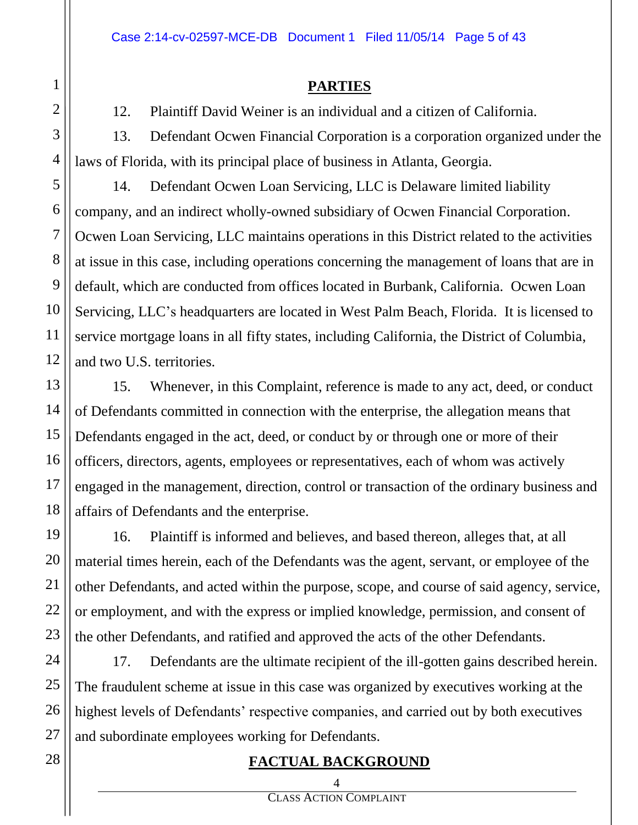#### **PARTIES**

12. Plaintiff David Weiner is an individual and a citizen of California.

13. Defendant Ocwen Financial Corporation is a corporation organized under the laws of Florida, with its principal place of business in Atlanta, Georgia.

14. Defendant Ocwen Loan Servicing, LLC is Delaware limited liability company, and an indirect wholly-owned subsidiary of Ocwen Financial Corporation. Ocwen Loan Servicing, LLC maintains operations in this District related to the activities at issue in this case, including operations concerning the management of loans that are in default, which are conducted from offices located in Burbank, California. Ocwen Loan Servicing, LLC's headquarters are located in West Palm Beach, Florida. It is licensed to service mortgage loans in all fifty states, including California, the District of Columbia, and two U.S. territories.

15. Whenever, in this Complaint, reference is made to any act, deed, or conduct of Defendants committed in connection with the enterprise, the allegation means that Defendants engaged in the act, deed, or conduct by or through one or more of their officers, directors, agents, employees or representatives, each of whom was actively engaged in the management, direction, control or transaction of the ordinary business and affairs of Defendants and the enterprise.

16. Plaintiff is informed and believes, and based thereon, alleges that, at all material times herein, each of the Defendants was the agent, servant, or employee of the other Defendants, and acted within the purpose, scope, and course of said agency, service, or employment, and with the express or implied knowledge, permission, and consent of the other Defendants, and ratified and approved the acts of the other Defendants.

17. Defendants are the ultimate recipient of the ill-gotten gains described herein. The fraudulent scheme at issue in this case was organized by executives working at the highest levels of Defendants' respective companies, and carried out by both executives and subordinate employees working for Defendants.

# **FACTUAL BACKGROUND**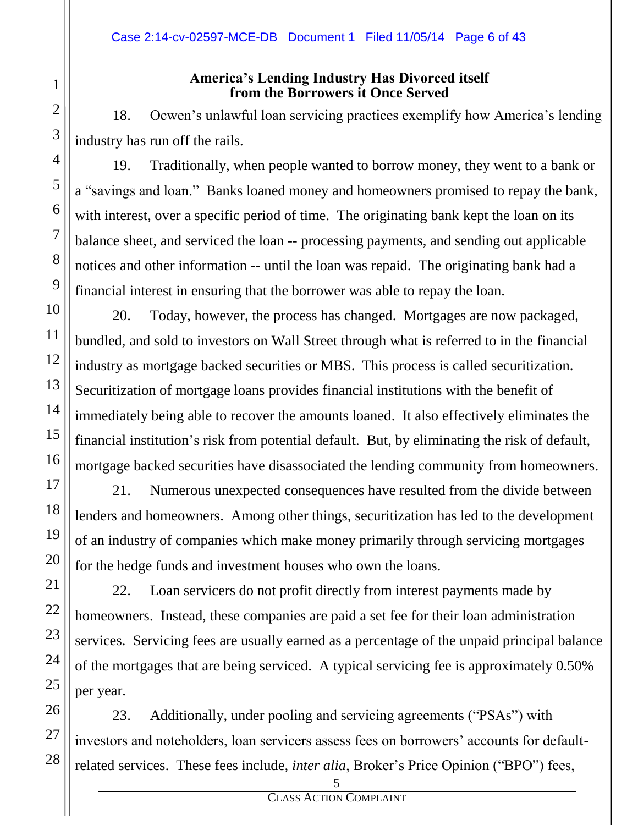#### **America's Lending Industry Has Divorced itself from the Borrowers it Once Served**

18. Ocwen's unlawful loan servicing practices exemplify how America's lending industry has run off the rails.

19. Traditionally, when people wanted to borrow money, they went to a bank or a "savings and loan." Banks loaned money and homeowners promised to repay the bank, with interest, over a specific period of time. The originating bank kept the loan on its balance sheet, and serviced the loan -- processing payments, and sending out applicable notices and other information -- until the loan was repaid. The originating bank had a financial interest in ensuring that the borrower was able to repay the loan.

20. Today, however, the process has changed. Mortgages are now packaged, bundled, and sold to investors on Wall Street through what is referred to in the financial industry as mortgage backed securities or MBS. This process is called securitization. Securitization of mortgage loans provides financial institutions with the benefit of immediately being able to recover the amounts loaned. It also effectively eliminates the financial institution's risk from potential default. But, by eliminating the risk of default, mortgage backed securities have disassociated the lending community from homeowners.

21. Numerous unexpected consequences have resulted from the divide between lenders and homeowners. Among other things, securitization has led to the development of an industry of companies which make money primarily through servicing mortgages for the hedge funds and investment houses who own the loans.

22. Loan servicers do not profit directly from interest payments made by homeowners. Instead, these companies are paid a set fee for their loan administration services. Servicing fees are usually earned as a percentage of the unpaid principal balance of the mortgages that are being serviced. A typical servicing fee is approximately 0.50% per year.

23. Additionally, under pooling and servicing agreements ("PSAs") with investors and noteholders, loan servicers assess fees on borrowers' accounts for defaultrelated services. These fees include, *inter alia*, Broker's Price Opinion ("BPO") fees,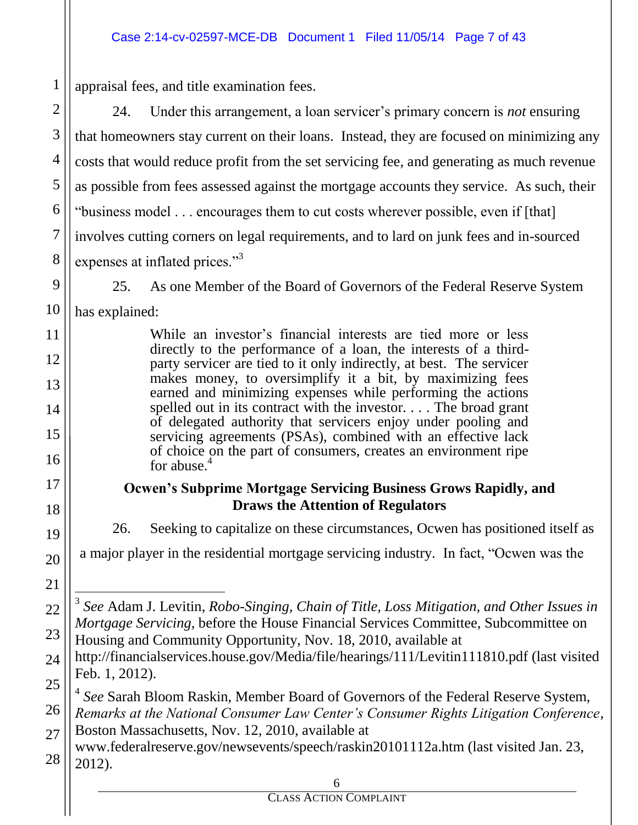appraisal fees, and title examination fees.

24. Under this arrangement, a loan servicer's primary concern is *not* ensuring that homeowners stay current on their loans. Instead, they are focused on minimizing any costs that would reduce profit from the set servicing fee, and generating as much revenue as possible from fees assessed against the mortgage accounts they service. As such, their "business model . . . encourages them to cut costs wherever possible, even if [that] involves cutting corners on legal requirements, and to lard on junk fees and in-sourced expenses at inflated prices."<sup>3</sup>

25. As one Member of the Board of Governors of the Federal Reserve System has explained:

> While an investor's financial interests are tied more or less directly to the performance of a loan, the interests of a thirdparty servicer are tied to it only indirectly, at best. The servicer makes money, to oversimplify it a bit, by maximizing fees earned and minimizing expenses while performing the actions spelled out in its contract with the investor. . . . The broad grant of delegated authority that servicers enjoy under pooling and servicing agreements (PSAs), combined with an effective lack of choice on the part of consumers, creates an environment ripe for abuse.<sup>4</sup>

## **Ocwen's Subprime Mortgage Servicing Business Grows Rapidly, and Draws the Attention of Regulators**

26. Seeking to capitalize on these circumstances, Ocwen has positioned itself as a major player in the residential mortgage servicing industry. In fact, "Ocwen was the

4 *See* Sarah Bloom Raskin, Member Board of Governors of the Federal Reserve System, *Remarks at the National Consumer Law Center's Consumer Rights Litigation Conference*,

Boston Massachusetts, Nov. 12, 2010, available at

 $\overline{a}$ 3 *See* Adam J. Levitin, *Robo-Singing, Chain of Title, Loss Mitigation, and Other Issues in Mortgage Servicing*, before the House Financial Services Committee, Subcommittee on Housing and Community Opportunity, Nov. 18, 2010, available at

http://financialservices.house.gov/Media/file/hearings/111/Levitin111810.pdf (last visited Feb. 1, 2012).

<sup>28</sup> www.federalreserve.gov/newsevents/speech/raskin20101112a.htm (last visited Jan. 23, 2012).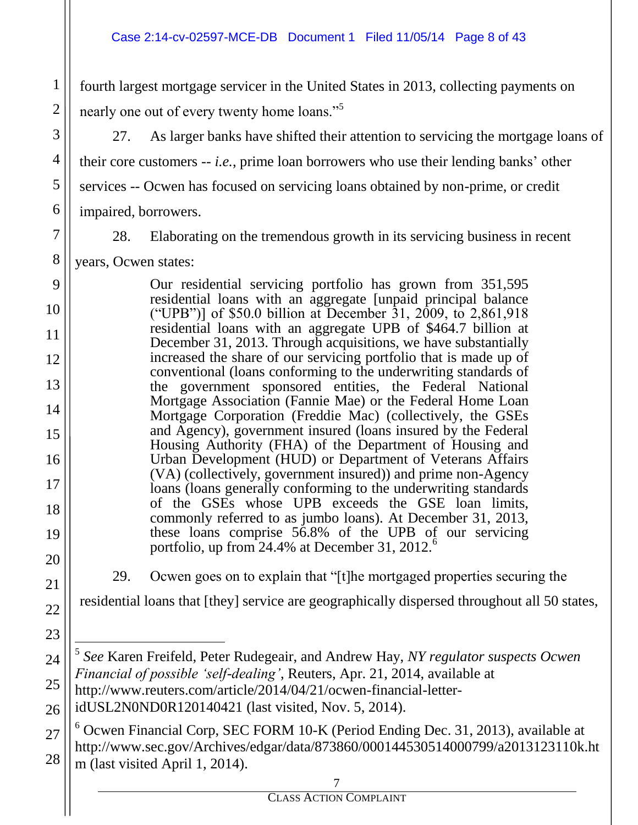fourth largest mortgage servicer in the United States in 2013, collecting payments on nearly one out of every twenty home loans."<sup>5</sup>

27. As larger banks have shifted their attention to servicing the mortgage loans of their core customers -- *i.e.*, prime loan borrowers who use their lending banks' other services -- Ocwen has focused on servicing loans obtained by non-prime, or credit impaired, borrowers.

1

2

3

4

5

6

7

8

9

10

28. Elaborating on the tremendous growth in its servicing business in recent years, Ocwen states:

Our residential servicing portfolio has grown from 351,595 residential loans with an aggregate [unpaid principal balance ("UPB")] of \$50.0 billion at December 31, 2009, to 2,861,918 residential loans with an aggregate UPB of \$464.7 billion at December 31, 2013. Through acquisitions, we have substantially increased the share of our servicing portfolio that is made up of conventional (loans conforming to the underwriting standards of the government sponsored entities, the Federal National Mortgage Association (Fannie Mae) or the Federal Home Loan Mortgage Corporation (Freddie Mac) (collectively, the GSEs and Agency), government insured (loans insured by the Federal Housing Authority (FHA) of the Department of Housing and Urban Development (HUD) or Department of Veterans Affairs (VA) (collectively, government insured)) and prime non-Agency loans (loans generally conforming to the underwriting standards of the GSEs whose UPB exceeds the GSE loan limits, commonly referred to as jumbo loans). At December 31, 2013, these loans comprise 56.8% of the UPB of our servicing portfolio, up from  $24.4\%$  at December 31,  $2012.^6$ 

29. Ocwen goes on to explain that "[t]he mortgaged properties securing the

residential loans that [they] service are geographically dispersed throughout all 50 states,

5 *See* Karen Freifeld, Peter Rudegeair, and Andrew Hay, *NY regulator suspects Ocwen Financial of possible 'self-dealing'*, Reuters, Apr. 21, 2014, available at http://www.reuters.com/article/2014/04/21/ocwen-financial-letteridUSL2N0ND0R120140421 (last visited, Nov. 5, 2014).

 $6$  Ocwen Financial Corp, SEC FORM 10-K (Period Ending Dec. 31, 2013), available at http://www.sec.gov/Archives/edgar/data/873860/000144530514000799/a2013123110k.ht m (last visited April 1, 2014).

 $\overline{a}$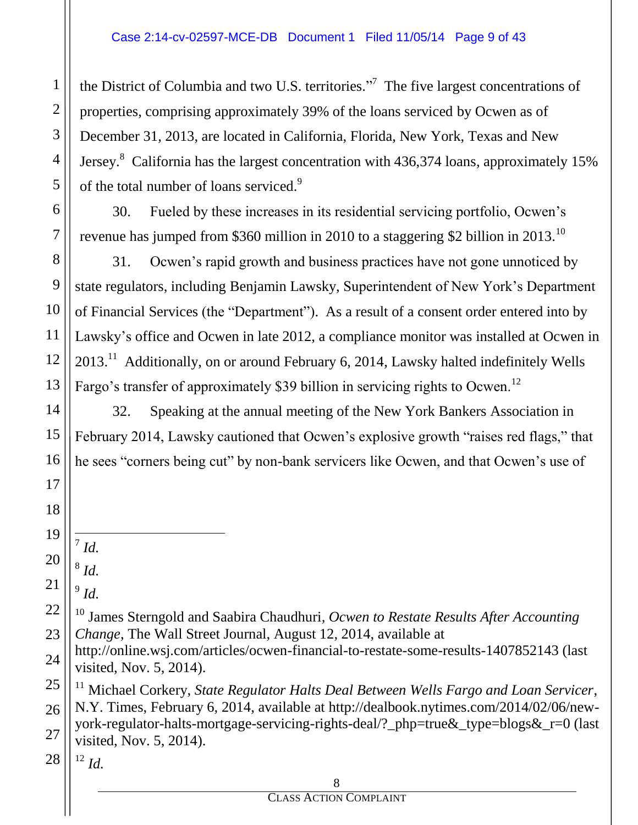the District of Columbia and two U.S. territories. $\cdot$ <sup>7</sup> The five largest concentrations of properties, comprising approximately 39% of the loans serviced by Ocwen as of December 31, 2013, are located in California, Florida, New York, Texas and New Jersey. $8$  California has the largest concentration with 436,374 loans, approximately 15% of the total number of loans serviced.<sup>9</sup>

30. Fueled by these increases in its residential servicing portfolio, Ocwen's revenue has jumped from \$360 million in 2010 to a staggering \$2 billion in 2013.<sup>10</sup>

31. Ocwen's rapid growth and business practices have not gone unnoticed by state regulators, including Benjamin Lawsky, Superintendent of New York's Department of Financial Services (the "Department"). As a result of a consent order entered into by Lawsky's office and Ocwen in late 2012, a compliance monitor was installed at Ocwen in  $2013<sup>11</sup>$  Additionally, on or around February 6, 2014, Lawsky halted indefinitely Wells Fargo's transfer of approximately \$39 billion in servicing rights to Ocwen.<sup>12</sup>

32. Speaking at the annual meeting of the New York Bankers Association in February 2014, Lawsky cautioned that Ocwen's explosive growth "raises red flags," that he sees "corners being cut" by non-bank servicers like Ocwen, and that Ocwen's use of

1

2

3

4

5

6

7

8

9

10

11

12

13

14

15

16

17

18

25 26 27 <sup>11</sup> Michael Corkery, *State Regulator Halts Deal Between Wells Fargo and Loan Servicer*, N.Y. Times, February 6, 2014, available at http://dealbook.nytimes.com/2014/02/06/newyork-regulator-halts-mortgage-servicing-rights-deal/? php=true & type=blogs  $\&$  r=0 (last visited, Nov. 5, 2014).

28  $12 \, Id.$ 

<sup>19</sup> 20  $\overline{a}$ 7 *Id.*

<sup>21</sup> 8 *Id.*

<sup>9</sup> *Id.*

<sup>22</sup> 23 <sup>10</sup> James Sterngold and Saabira Chaudhuri*, Ocwen to Restate Results After Accounting Change*, The Wall Street Journal, August 12, 2014, available at

<sup>24</sup> http://online.wsj.com/articles/ocwen-financial-to-restate-some-results-1407852143 (last visited, Nov. 5, 2014).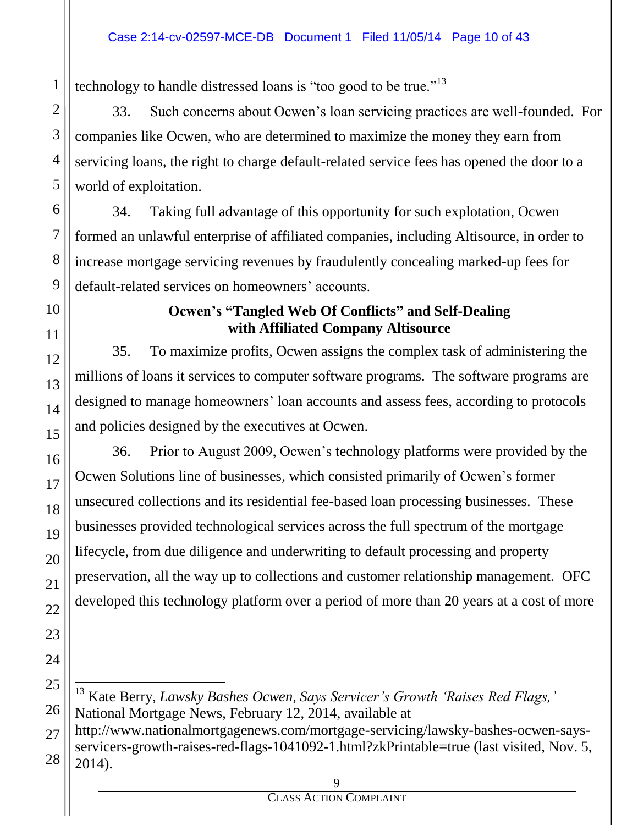technology to handle distressed loans is "too good to be true."<sup>13</sup>

33. Such concerns about Ocwen's loan servicing practices are well-founded. For companies like Ocwen, who are determined to maximize the money they earn from servicing loans, the right to charge default-related service fees has opened the door to a world of exploitation.

34. Taking full advantage of this opportunity for such explotation, Ocwen formed an unlawful enterprise of affiliated companies, including Altisource, in order to increase mortgage servicing revenues by fraudulently concealing marked-up fees for default-related services on homeowners' accounts.

#### **Ocwen's "Tangled Web Of Conflicts" and Self-Dealing with Affiliated Company Altisource**

35. To maximize profits, Ocwen assigns the complex task of administering the millions of loans it services to computer software programs. The software programs are designed to manage homeowners' loan accounts and assess fees, according to protocols and policies designed by the executives at Ocwen.

36. Prior to August 2009, Ocwen's technology platforms were provided by the Ocwen Solutions line of businesses, which consisted primarily of Ocwen's former unsecured collections and its residential fee-based loan processing businesses. These businesses provided technological services across the full spectrum of the mortgage lifecycle, from due diligence and underwriting to default processing and property preservation, all the way up to collections and customer relationship management. OFC developed this technology platform over a period of more than 20 years at a cost of more

<sup>13</sup> Kate Berry, *Lawsky Bashes Ocwen, Says Servicer's Growth 'Raises Red Flags,'* National Mortgage News, February 12, 2014, available at http://www.nationalmortgagenews.com/mortgage-servicing/lawsky-bashes-ocwen-saysservicers-growth-raises-red-flags-1041092-1.html?zkPrintable=true (last visited, Nov. 5, 2014).

 $\overline{a}$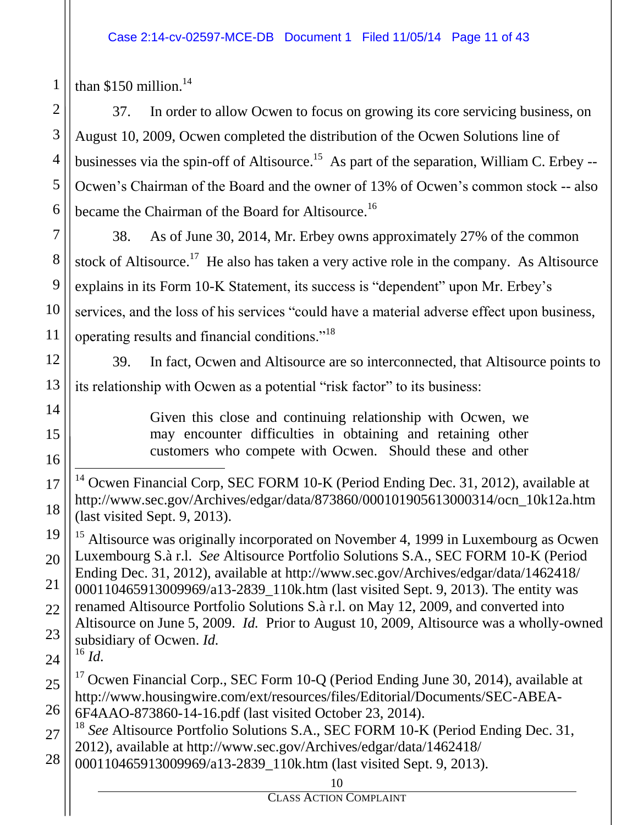than  $$150$  million.<sup>14</sup>

1

37. In order to allow Ocwen to focus on growing its core servicing business, on August 10, 2009, Ocwen completed the distribution of the Ocwen Solutions line of businesses via the spin-off of Altisource.<sup>15</sup> As part of the separation, William C. Erbey --Ocwen's Chairman of the Board and the owner of 13% of Ocwen's common stock -- also became the Chairman of the Board for Altisource.<sup>16</sup>

38. As of June 30, 2014, Mr. Erbey owns approximately 27% of the common stock of Altisource.<sup>17</sup> He also has taken a very active role in the company. As Altisource explains in its Form 10-K Statement, its success is "dependent" upon Mr. Erbey's services, and the loss of his services "could have a material adverse effect upon business, operating results and financial conditions."<sup>18</sup>

39. In fact, Ocwen and Altisource are so interconnected, that Altisource points to its relationship with Ocwen as a potential "risk factor" to its business:

> Given this close and continuing relationship with Ocwen, we may encounter difficulties in obtaining and retaining other customers who compete with Ocwen. Should these and other

 $\overline{a}$ <sup>14</sup> Ocwen Financial Corp, SEC FORM 10-K (Period Ending Dec. 31, 2012), available at http://www.sec.gov/Archives/edgar/data/873860/000101905613000314/ocn\_10k12a.htm (last visited Sept. 9, 2013).

<sup>15</sup> Altisource was originally incorporated on November 4, 1999 in Luxembourg as Ocwen Luxembourg S.à r.l. *See* Altisource Portfolio Solutions S.A., SEC FORM 10-K (Period Ending Dec. 31, 2012), available at http://www.sec.gov/Archives/edgar/data/1462418/ 000110465913009969/a13-2839\_110k.htm (last visited Sept. 9, 2013). The entity was renamed Altisource Portfolio Solutions S.à r.l. on May 12, 2009, and converted into Altisource on June 5, 2009. *Id.* Prior to August 10, 2009, Altisource was a wholly-owned subsidiary of Ocwen. *Id.*  $^{16}$  *Id.* 

<sup>17</sup> Ocwen Financial Corp., SEC Form 10-Q (Period Ending June 30, 2014), available at http://www.housingwire.com/ext/resources/files/Editorial/Documents/SEC-ABEA-6F4AAO-873860-14-16.pdf (last visited October 23, 2014).

<sup>18</sup> See Altisource Portfolio Solutions S.A., SEC FORM 10-K (Period Ending Dec. 31, 2012), available at http://www.sec.gov/Archives/edgar/data/1462418/

000110465913009969/a13-2839\_110k.htm (last visited Sept. 9, 2013).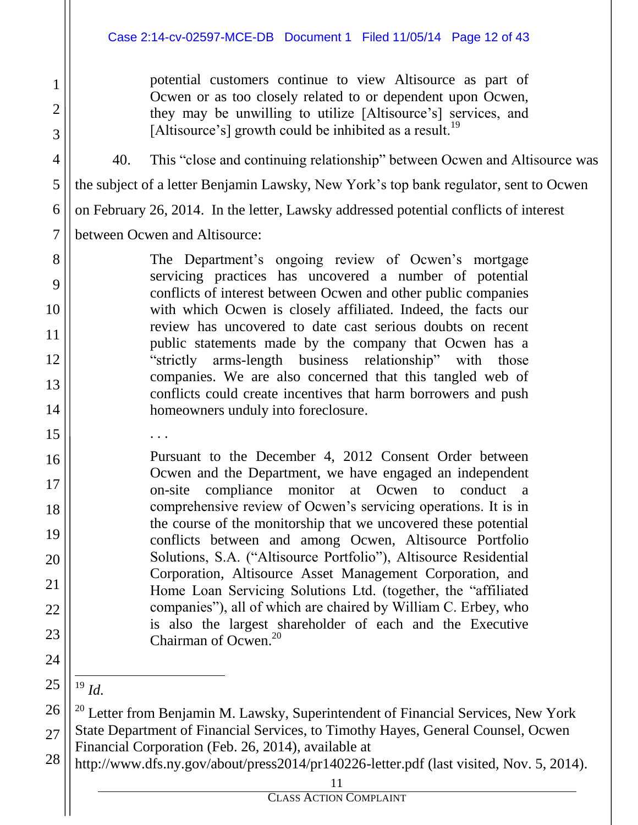#### Case 2:14-cv-02597-MCE-DB Document 1 Filed 11/05/14 Page 12 of 43

potential customers continue to view Altisource as part of Ocwen or as too closely related to or dependent upon Ocwen, they may be unwilling to utilize [Altisource's] services, and [Altisource's] growth could be inhibited as a result.<sup>19</sup>

40. This "close and continuing relationship" between Ocwen and Altisource was the subject of a letter Benjamin Lawsky, New York's top bank regulator, sent to Ocwen on February 26, 2014. In the letter, Lawsky addressed potential conflicts of interest between Ocwen and Altisource:

> The Department's ongoing review of Ocwen's mortgage servicing practices has uncovered a number of potential conflicts of interest between Ocwen and other public companies with which Ocwen is closely affiliated. Indeed, the facts our review has uncovered to date cast serious doubts on recent public statements made by the company that Ocwen has a "strictly arms-length business relationship" with those companies. We are also concerned that this tangled web of conflicts could create incentives that harm borrowers and push homeowners unduly into foreclosure.

Pursuant to the December 4, 2012 Consent Order between Ocwen and the Department, we have engaged an independent on-site compliance monitor at Ocwen to conduct a comprehensive review of Ocwen's servicing operations. It is in the course of the monitorship that we uncovered these potential conflicts between and among Ocwen, Altisource Portfolio Solutions, S.A. ("Altisource Portfolio"), Altisource Residential Corporation, Altisource Asset Management Corporation, and Home Loan Servicing Solutions Ltd. (together, the "affiliated companies"), all of which are chaired by William C. Erbey, who is also the largest shareholder of each and the Executive Chairman of Ocwen. $20$ 

. . .

 $\overline{a}$ <sup>19</sup> *Id.*

<sup>&</sup>lt;sup>20</sup> Letter from Benjamin M. Lawsky, Superintendent of Financial Services, New York State Department of Financial Services, to Timothy Hayes, General Counsel, Ocwen Financial Corporation (Feb. 26, 2014), available at

http://www.dfs.ny.gov/about/press2014/pr140226-letter.pdf (last visited, Nov. 5, 2014).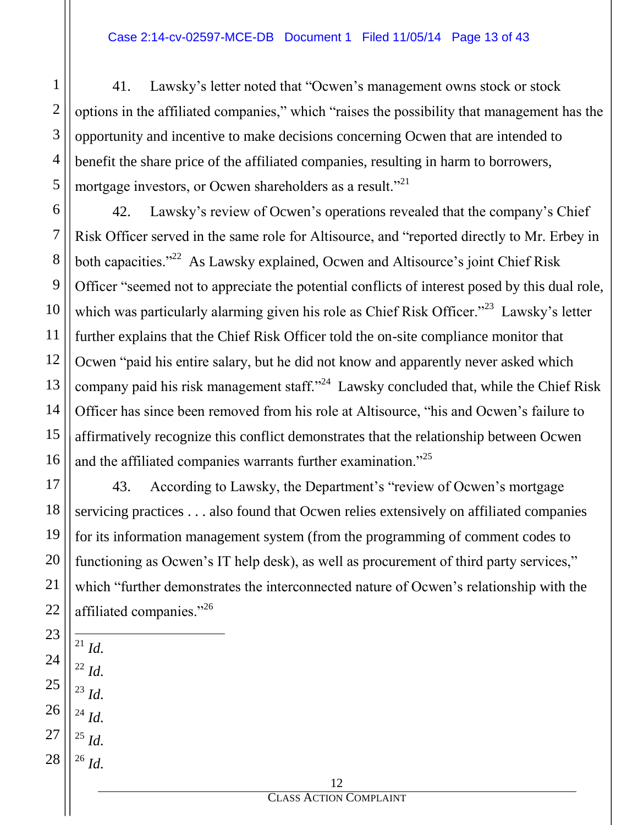41. Lawsky's letter noted that "Ocwen's management owns stock or stock options in the affiliated companies," which "raises the possibility that management has the opportunity and incentive to make decisions concerning Ocwen that are intended to benefit the share price of the affiliated companies, resulting in harm to borrowers, mortgage investors, or Ocwen shareholders as a result."<sup>21</sup>

42. Lawsky's review of Ocwen's operations revealed that the company's Chief Risk Officer served in the same role for Altisource, and "reported directly to Mr. Erbey in both capacities."<sup>22</sup> As Lawsky explained, Ocwen and Altisource's joint Chief Risk Officer "seemed not to appreciate the potential conflicts of interest posed by this dual role, which was particularly alarming given his role as Chief Risk Officer."<sup>23</sup> Lawsky's letter further explains that the Chief Risk Officer told the on-site compliance monitor that Ocwen "paid his entire salary, but he did not know and apparently never asked which company paid his risk management staff."<sup>24</sup> Lawsky concluded that, while the Chief Risk Officer has since been removed from his role at Altisource, "his and Ocwen's failure to affirmatively recognize this conflict demonstrates that the relationship between Ocwen and the affiliated companies warrants further examination."<sup>25</sup>

43. According to Lawsky, the Department's "review of Ocwen's mortgage servicing practices . . . also found that Ocwen relies extensively on affiliated companies for its information management system (from the programming of comment codes to functioning as Ocwen's IT help desk), as well as procurement of third party services," which "further demonstrates the interconnected nature of Ocwen's relationship with the affiliated companies."26

- $\overline{a}$ <sup>21</sup> *Id.* <sup>22</sup> *Id.* <sup>23</sup> *Id.*
- 26 <sup>24</sup> *Id.*
- 27 <sup>25</sup> *Id.*
- 28 <sup>26</sup> *Id.*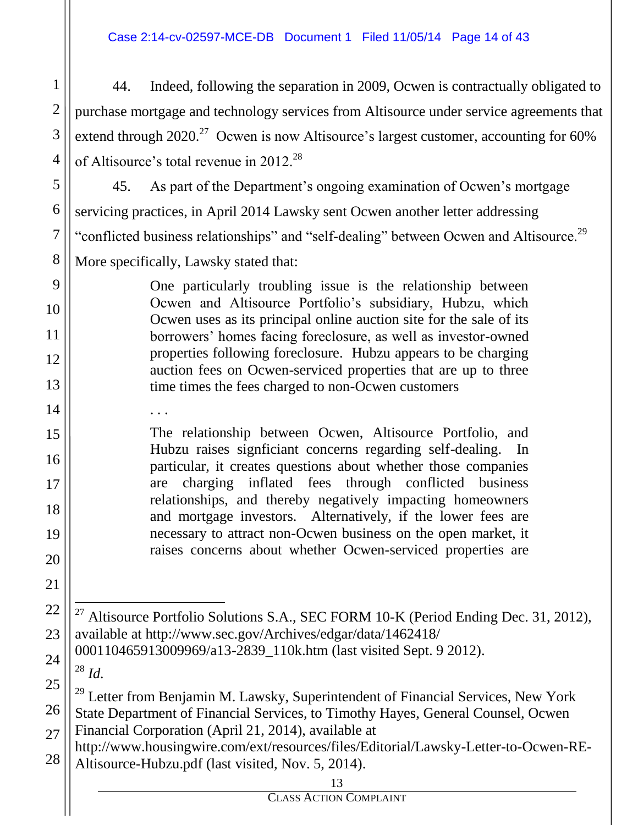#### Case 2:14-cv-02597-MCE-DB Document 1 Filed 11/05/14 Page 14 of 43

44. Indeed, following the separation in 2009, Ocwen is contractually obligated to purchase mortgage and technology services from Altisource under service agreements that extend through 2020.<sup>27</sup> Ocwen is now Altisource's largest customer, accounting for 60% of Altisource's total revenue in 2012.<sup>28</sup>

45. As part of the Department's ongoing examination of Ocwen's mortgage servicing practices, in April 2014 Lawsky sent Ocwen another letter addressing "conflicted business relationships" and "self-dealing" between Ocwen and Altisource.<sup>29</sup> More specifically, Lawsky stated that:

> One particularly troubling issue is the relationship between Ocwen and Altisource Portfolio's subsidiary, Hubzu, which Ocwen uses as its principal online auction site for the sale of its borrowers' homes facing foreclosure, as well as investor-owned properties following foreclosure. Hubzu appears to be charging auction fees on Ocwen-serviced properties that are up to three time times the fees charged to non-Ocwen customers

The relationship between Ocwen, Altisource Portfolio, and Hubzu raises signficiant concerns regarding self-dealing. In particular, it creates questions about whether those companies are charging inflated fees through conflicted business relationships, and thereby negatively impacting homeowners and mortgage investors. Alternatively, if the lower fees are necessary to attract non-Ocwen business on the open market, it raises concerns about whether Ocwen-serviced properties are

 $\overline{a}$ <sup>27</sup> Altisource Portfolio Solutions S.A., SEC FORM 10-K (Period Ending Dec. 31, 2012), available at http://www.sec.gov/Archives/edgar/data/1462418/ 000110465913009969/a13-2839\_110k.htm (last visited Sept. 9 2012).

<sup>28</sup> *Id.*

1

2

3

4

5

6

7

8

9

10

11

12

13

14

. . .

15

16

17

18

19

20

21

22

23

24

25

26

<sup>29</sup> Letter from Benjamin M. Lawsky, Superintendent of Financial Services, New York State Department of Financial Services, to Timothy Hayes, General Counsel, Ocwen Financial Corporation (April 21, 2014), available at

27 28 http://www.housingwire.com/ext/resources/files/Editorial/Lawsky-Letter-to-Ocwen-RE-Altisource-Hubzu.pdf (last visited, Nov. 5, 2014).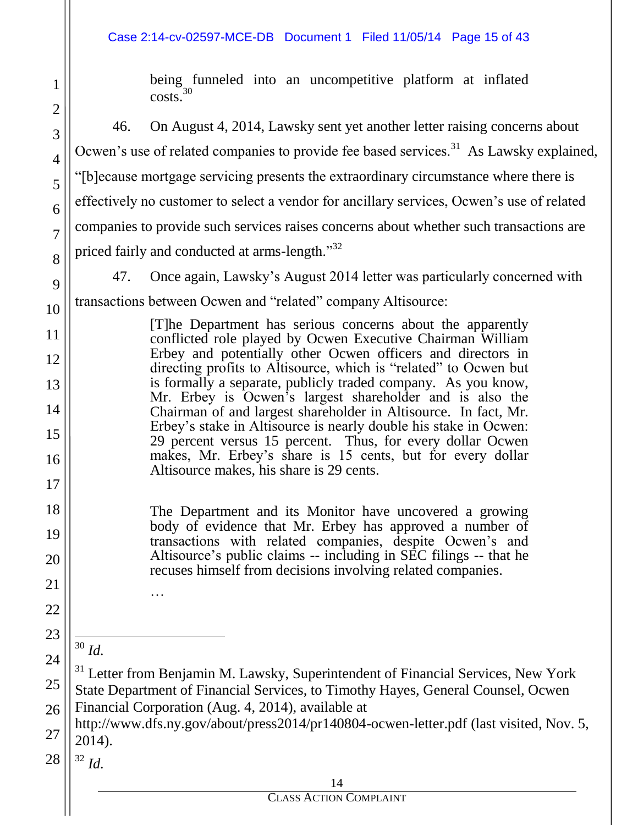#### Case 2:14-cv-02597-MCE-DB Document 1 Filed 11/05/14 Page 15 of 43

being funneled into an uncompetitive platform at inflated  $\cos(s)$ <sup>30</sup>

46. On August 4, 2014, Lawsky sent yet another letter raising concerns about Ocwen's use of related companies to provide fee based services.<sup>31</sup> As Lawsky explained, "[b]ecause mortgage servicing presents the extraordinary circumstance where there is effectively no customer to select a vendor for ancillary services, Ocwen's use of related companies to provide such services raises concerns about whether such transactions are priced fairly and conducted at arms-length."<sup>32</sup>

47. Once again, Lawsky's August 2014 letter was particularly concerned with transactions between Ocwen and "related" company Altisource:

> [T]he Department has serious concerns about the apparently conflicted role played by Ocwen Executive Chairman William Erbey and potentially other Ocwen officers and directors in directing profits to Altisource, which is "related" to Ocwen but is formally a separate, publicly traded company. As you know, Mr. Erbey is Ocwen's largest shareholder and is also the Chairman of and largest shareholder in Altisource. In fact, Mr. Erbey's stake in Altisource is nearly double his stake in Ocwen: 29 percent versus 15 percent. Thus, for every dollar Ocwen makes, Mr. Erbey's share is 15 cents, but for every dollar Altisource makes, his share is 29 cents.

The Department and its Monitor have uncovered a growing body of evidence that Mr. Erbey has approved a number of transactions with related companies, despite Ocwen's and Altisource's public claims -- including in SEC filings -- that he recuses himself from decisions involving related companies.

 $\overline{a}$ <sup>30</sup> *Id.* …

1

2

3

4

5

6

7

8

9

10

11

12

13

14

15

16

17

18

19

20

21

22

23

24

25

26

27

 $31$  Letter from Benjamin M. Lawsky, Superintendent of Financial Services, New York State Department of Financial Services, to Timothy Hayes, General Counsel, Ocwen Financial Corporation (Aug. 4, 2014), available at

http://www.dfs.ny.gov/about/press2014/pr140804-ocwen-letter.pdf (last visited, Nov. 5, 2014).

28 <sup>32</sup> *Id.*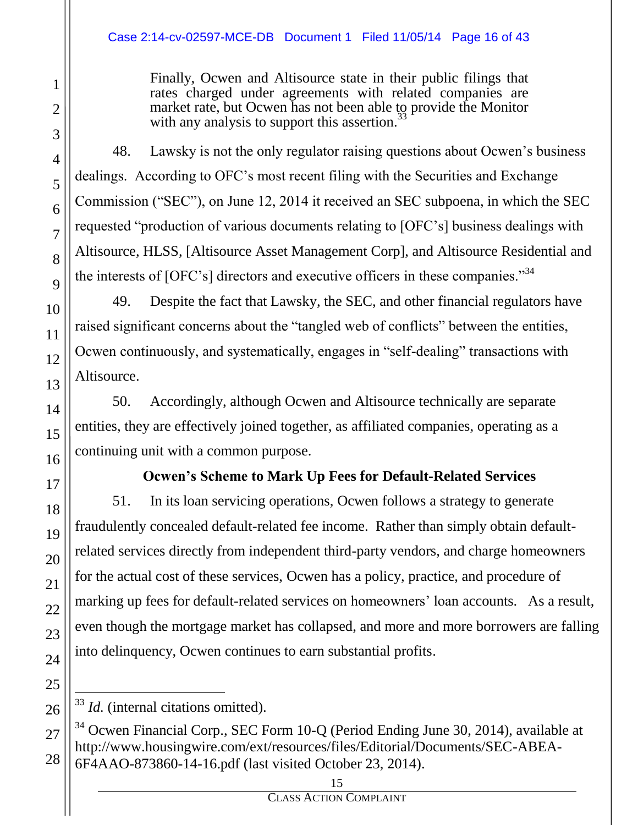Finally, Ocwen and Altisource state in their public filings that rates charged under agreements with related companies are market rate, but Ocwen has not been able to provide the Monitor with any analysis to support this assertion.<sup>3</sup>

48. Lawsky is not the only regulator raising questions about Ocwen's business dealings. According to OFC's most recent filing with the Securities and Exchange Commission ("SEC"), on June 12, 2014 it received an SEC subpoena, in which the SEC requested "production of various documents relating to [OFC's] business dealings with Altisource, HLSS, [Altisource Asset Management Corp], and Altisource Residential and the interests of [OFC's] directors and executive officers in these companies.<sup>34</sup>

49. Despite the fact that Lawsky, the SEC, and other financial regulators have raised significant concerns about the "tangled web of conflicts" between the entities, Ocwen continuously, and systematically, engages in "self-dealing" transactions with Altisource.

50. Accordingly, although Ocwen and Altisource technically are separate entities, they are effectively joined together, as affiliated companies, operating as a continuing unit with a common purpose.

# **Ocwen's Scheme to Mark Up Fees for Default-Related Services**

51. In its loan servicing operations, Ocwen follows a strategy to generate fraudulently concealed default-related fee income. Rather than simply obtain defaultrelated services directly from independent third-party vendors, and charge homeowners for the actual cost of these services, Ocwen has a policy, practice, and procedure of marking up fees for default-related services on homeowners' loan accounts. As a result, even though the mortgage market has collapsed, and more and more borrowers are falling into delinquency, Ocwen continues to earn substantial profits.

 $\overline{a}$ <sup>33</sup> *Id.* (internal citations omitted).

<sup>34</sup> Ocwen Financial Corp., SEC Form 10-Q (Period Ending June 30, 2014), available at http://www.housingwire.com/ext/resources/files/Editorial/Documents/SEC-ABEA-6F4AAO-873860-14-16.pdf (last visited October 23, 2014).

CLASS ACTION COMPLAINT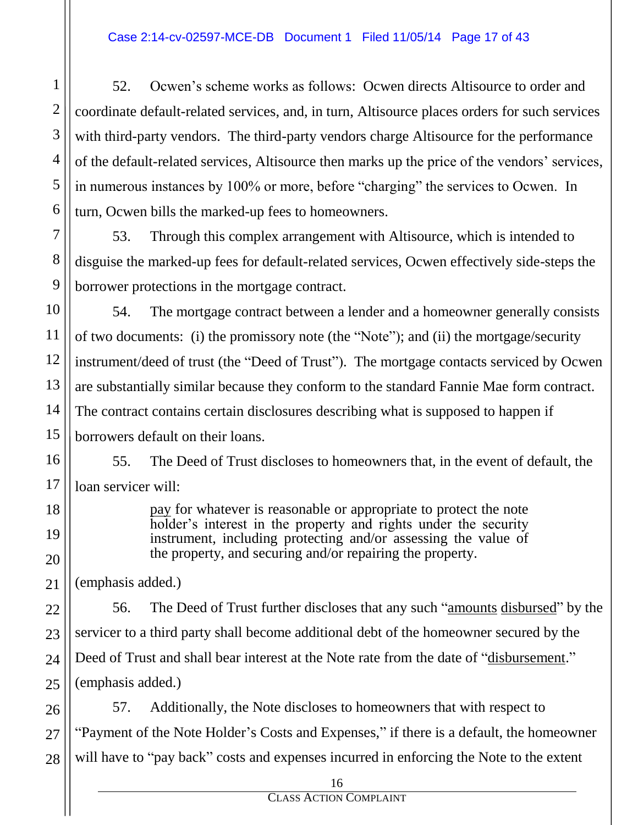52. Ocwen's scheme works as follows: Ocwen directs Altisource to order and coordinate default-related services, and, in turn, Altisource places orders for such services with third-party vendors. The third-party vendors charge Altisource for the performance of the default-related services, Altisource then marks up the price of the vendors' services, in numerous instances by 100% or more, before "charging" the services to Ocwen. In turn, Ocwen bills the marked-up fees to homeowners.

53. Through this complex arrangement with Altisource, which is intended to disguise the marked-up fees for default-related services, Ocwen effectively side-steps the borrower protections in the mortgage contract.

54. The mortgage contract between a lender and a homeowner generally consists of two documents: (i) the promissory note (the "Note"); and (ii) the mortgage/security instrument/deed of trust (the "Deed of Trust"). The mortgage contacts serviced by Ocwen are substantially similar because they conform to the standard Fannie Mae form contract. The contract contains certain disclosures describing what is supposed to happen if borrowers default on their loans.

55. The Deed of Trust discloses to homeowners that, in the event of default, the loan servicer will:

> pay for whatever is reasonable or appropriate to protect the note holder's interest in the property and rights under the security instrument, including protecting and/or assessing the value of the property, and securing and/or repairing the property.

(emphasis added.)

56. The Deed of Trust further discloses that any such "amounts disbursed" by the servicer to a third party shall become additional debt of the homeowner secured by the Deed of Trust and shall bear interest at the Note rate from the date of "disbursement." (emphasis added.)

57. Additionally, the Note discloses to homeowners that with respect to "Payment of the Note Holder's Costs and Expenses," if there is a default, the homeowner will have to "pay back" costs and expenses incurred in enforcing the Note to the extent

1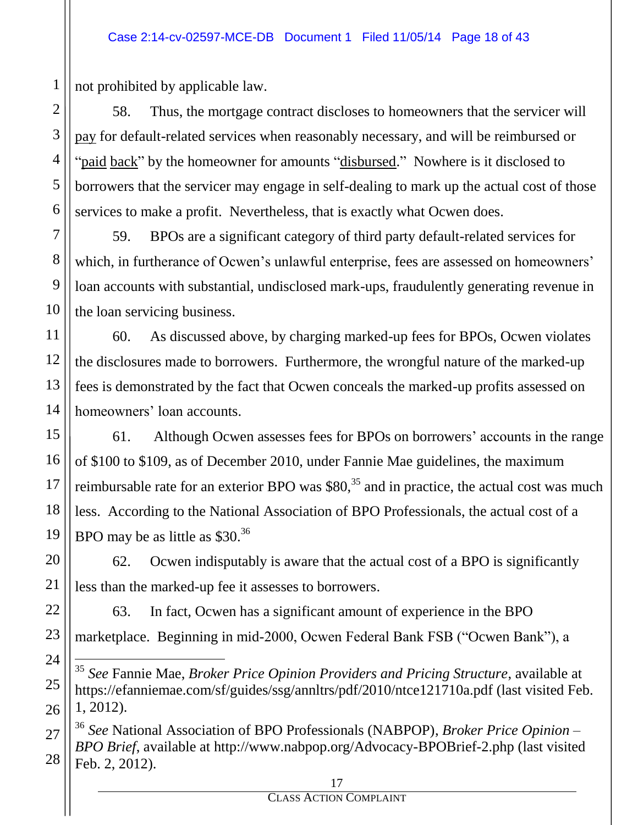not prohibited by applicable law.

58. Thus, the mortgage contract discloses to homeowners that the servicer will pay for default-related services when reasonably necessary, and will be reimbursed or "paid back" by the homeowner for amounts "disbursed." Nowhere is it disclosed to borrowers that the servicer may engage in self-dealing to mark up the actual cost of those services to make a profit. Nevertheless, that is exactly what Ocwen does.

59. BPOs are a significant category of third party default-related services for which, in furtherance of Ocwen's unlawful enterprise, fees are assessed on homeowners' loan accounts with substantial, undisclosed mark-ups, fraudulently generating revenue in the loan servicing business.

60. As discussed above, by charging marked-up fees for BPOs, Ocwen violates the disclosures made to borrowers. Furthermore, the wrongful nature of the marked-up fees is demonstrated by the fact that Ocwen conceals the marked-up profits assessed on homeowners' loan accounts.

61. Although Ocwen assesses fees for BPOs on borrowers' accounts in the range of \$100 to \$109, as of December 2010, under Fannie Mae guidelines, the maximum reimbursable rate for an exterior BPO was  $$80<sup>35</sup>$  and in practice, the actual cost was much less. According to the National Association of BPO Professionals, the actual cost of a BPO may be as little as \$30.<sup>36</sup>

62. Ocwen indisputably is aware that the actual cost of a BPO is significantly less than the marked-up fee it assesses to borrowers.

63. In fact, Ocwen has a significant amount of experience in the BPO marketplace. Beginning in mid-2000, Ocwen Federal Bank FSB ("Ocwen Bank"), a

 $\overline{a}$ <sup>35</sup> *See* Fannie Mae, *Broker Price Opinion Providers and Pricing Structure*, available at https://efanniemae.com/sf/guides/ssg/annltrs/pdf/2010/ntce121710a.pdf (last visited Feb. 1, 2012).

<sup>36</sup> *See* National Association of BPO Professionals (NABPOP), *Broker Price Opinion – BPO Brief*, available at http://www.nabpop.org/Advocacy-BPOBrief-2.php (last visited Feb. 2, 2012).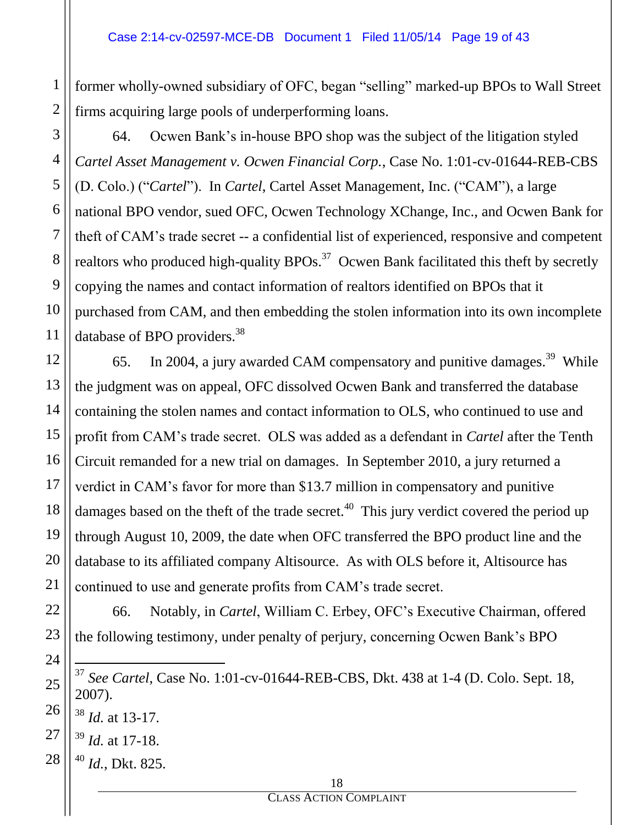former wholly-owned subsidiary of OFC, began "selling" marked-up BPOs to Wall Street firms acquiring large pools of underperforming loans.

64. Ocwen Bank's in-house BPO shop was the subject of the litigation styled *Cartel Asset Management v. Ocwen Financial Corp.*, Case No. 1:01-cv-01644-REB-CBS (D. Colo.) ("*Cartel*"). In *Cartel*, Cartel Asset Management, Inc. ("CAM"), a large national BPO vendor, sued OFC, Ocwen Technology XChange, Inc., and Ocwen Bank for theft of CAM's trade secret -- a confidential list of experienced, responsive and competent realtors who produced high-quality  $BPOS$ <sup>37</sup> Ocwen Bank facilitated this theft by secretly copying the names and contact information of realtors identified on BPOs that it purchased from CAM, and then embedding the stolen information into its own incomplete database of BPO providers.<sup>38</sup>

65. In 2004, a jury awarded CAM compensatory and punitive damages.<sup>39</sup> While the judgment was on appeal, OFC dissolved Ocwen Bank and transferred the database containing the stolen names and contact information to OLS, who continued to use and profit from CAM's trade secret. OLS was added as a defendant in *Cartel* after the Tenth Circuit remanded for a new trial on damages. In September 2010, a jury returned a verdict in CAM's favor for more than \$13.7 million in compensatory and punitive damages based on the theft of the trade secret.<sup>40</sup> This jury verdict covered the period up through August 10, 2009, the date when OFC transferred the BPO product line and the database to its affiliated company Altisource. As with OLS before it, Altisource has continued to use and generate profits from CAM's trade secret.

66. Notably, in *Cartel*, William C. Erbey, OFC's Executive Chairman, offered the following testimony, under penalty of perjury, concerning Ocwen Bank's BPO

 $\overline{a}$ <sup>37</sup> *See Cartel*, Case No. 1:01-cv-01644-REB-CBS, Dkt. 438 at 1-4 (D. Colo. Sept. 18, 2007).

<sup>38</sup> *Id.* at 13-17.

- <sup>39</sup> *Id.* at 17-18.
- <sup>40</sup> *Id.*, Dkt. 825.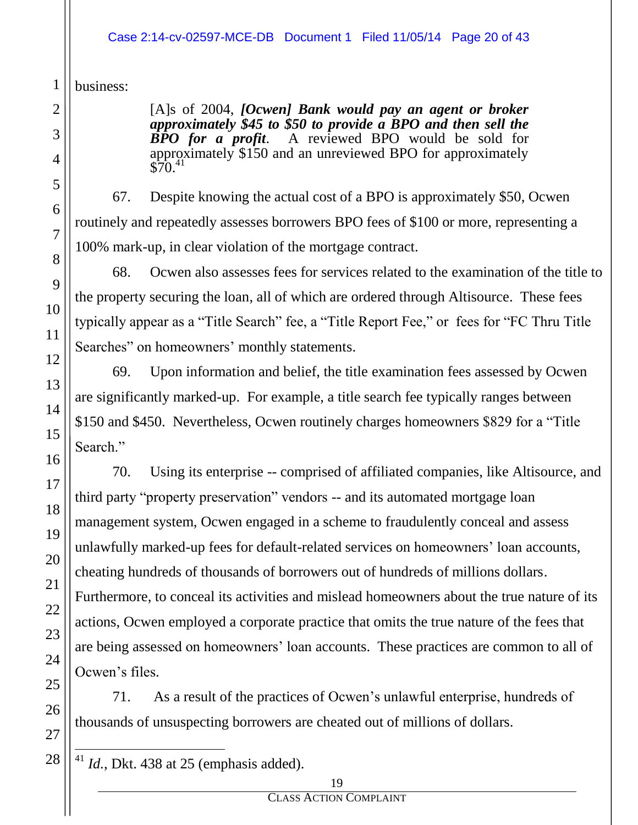#### Case 2:14-cv-02597-MCE-DB Document 1 Filed 11/05/14 Page 20 of 43

business:

[A]s of 2004, *[Ocwen] Bank would pay an agent or broker approximately \$45 to \$50 to provide a BPO and then sell the BPO for a profit*. A reviewed BPO would be sold for approximately \$150 and an unreviewed BPO for approximately  $$70.<sup>41</sup>$ 

67. Despite knowing the actual cost of a BPO is approximately \$50, Ocwen routinely and repeatedly assesses borrowers BPO fees of \$100 or more, representing a 100% mark-up, in clear violation of the mortgage contract.

68. Ocwen also assesses fees for services related to the examination of the title to the property securing the loan, all of which are ordered through Altisource. These fees typically appear as a "Title Search" fee, a "Title Report Fee," or fees for "FC Thru Title Searches" on homeowners' monthly statements.

69. Upon information and belief, the title examination fees assessed by Ocwen are significantly marked-up. For example, a title search fee typically ranges between \$150 and \$450. Nevertheless, Ocwen routinely charges homeowners \$829 for a "Title Search."

70. Using its enterprise -- comprised of affiliated companies, like Altisource, and third party "property preservation" vendors -- and its automated mortgage loan management system, Ocwen engaged in a scheme to fraudulently conceal and assess unlawfully marked-up fees for default-related services on homeowners' loan accounts, cheating hundreds of thousands of borrowers out of hundreds of millions dollars. Furthermore, to conceal its activities and mislead homeowners about the true nature of its actions, Ocwen employed a corporate practice that omits the true nature of the fees that are being assessed on homeowners' loan accounts. These practices are common to all of Ocwen's files.

71. As a result of the practices of Ocwen's unlawful enterprise, hundreds of thousands of unsuspecting borrowers are cheated out of millions of dollars.

 $\overline{a}$  $41$  *Id.*, Dkt. 438 at 25 (emphasis added).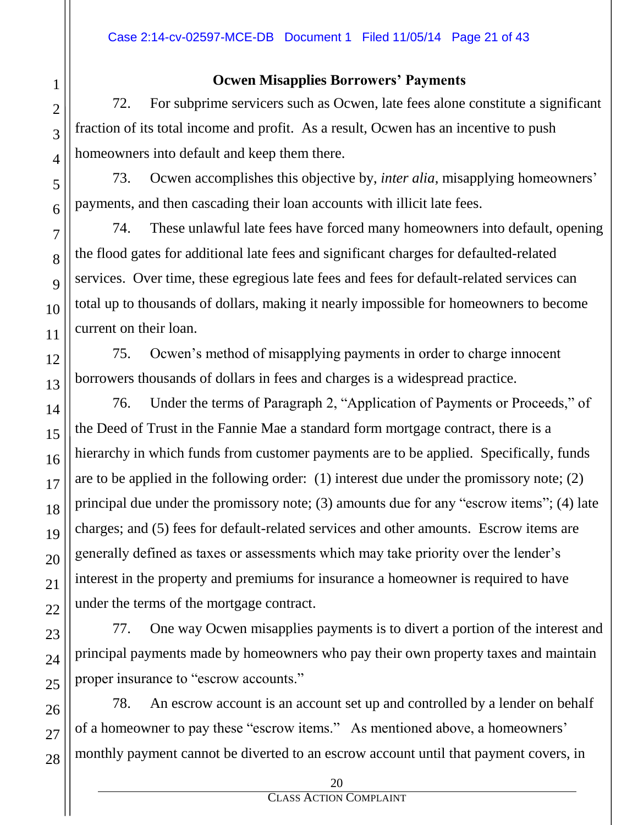### **Ocwen Misapplies Borrowers' Payments**

72. For subprime servicers such as Ocwen, late fees alone constitute a significant fraction of its total income and profit. As a result, Ocwen has an incentive to push homeowners into default and keep them there.

73. Ocwen accomplishes this objective by, *inter alia*, misapplying homeowners' payments, and then cascading their loan accounts with illicit late fees.

74. These unlawful late fees have forced many homeowners into default, opening the flood gates for additional late fees and significant charges for defaulted-related services. Over time, these egregious late fees and fees for default-related services can total up to thousands of dollars, making it nearly impossible for homeowners to become current on their loan.

75. Ocwen's method of misapplying payments in order to charge innocent borrowers thousands of dollars in fees and charges is a widespread practice.

76. Under the terms of Paragraph 2, "Application of Payments or Proceeds," of the Deed of Trust in the Fannie Mae a standard form mortgage contract, there is a hierarchy in which funds from customer payments are to be applied. Specifically, funds are to be applied in the following order: (1) interest due under the promissory note; (2) principal due under the promissory note; (3) amounts due for any "escrow items"; (4) late charges; and (5) fees for default-related services and other amounts. Escrow items are generally defined as taxes or assessments which may take priority over the lender's interest in the property and premiums for insurance a homeowner is required to have under the terms of the mortgage contract.

77. One way Ocwen misapplies payments is to divert a portion of the interest and principal payments made by homeowners who pay their own property taxes and maintain proper insurance to "escrow accounts."

78. An escrow account is an account set up and controlled by a lender on behalf of a homeowner to pay these "escrow items." As mentioned above, a homeowners' monthly payment cannot be diverted to an escrow account until that payment covers, in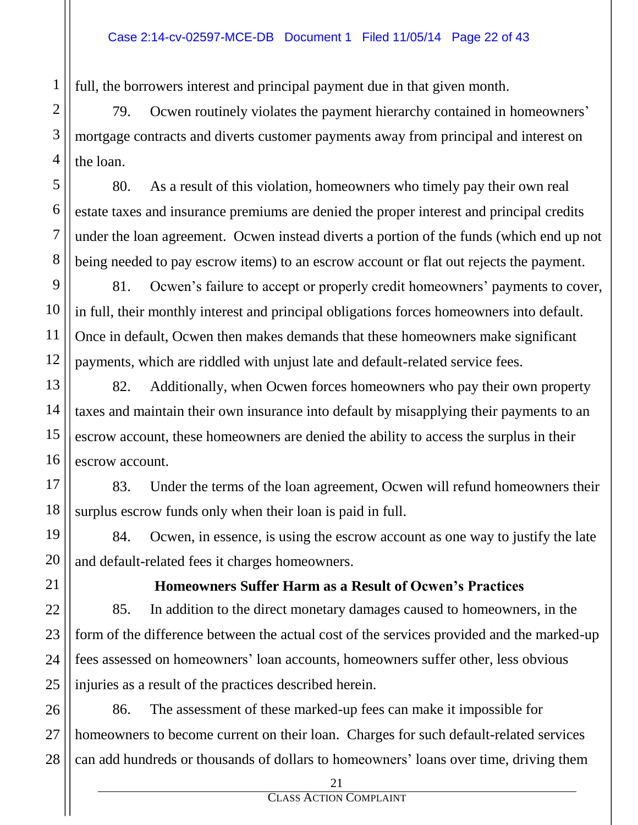full, the borrowers interest and principal payment due in that given month.

79. Ocwen routinely violates the payment hierarchy contained in homeowners' mortgage contracts and diverts customer payments away from principal and interest on the loan.

80. As a result of this violation, homeowners who timely pay their own real estate taxes and insurance premiums are denied the proper interest and principal credits under the loan agreement. Ocwen instead diverts a portion of the funds (which end up not being needed to pay escrow items) to an escrow account or flat out rejects the payment.

81. Ocwen's failure to accept or properly credit homeowners' payments to cover, in full, their monthly interest and principal obligations forces homeowners into default. Once in default, Ocwen then makes demands that these homeowners make significant payments, which are riddled with unjust late and default-related service fees.

82. Additionally, when Ocwen forces homeowners who pay their own property taxes and maintain their own insurance into default by misapplying their payments to an escrow account, these homeowners are denied the ability to access the surplus in their escrow account.

83. Under the terms of the loan agreement, Ocwen will refund homeowners their surplus escrow funds only when their loan is paid in full.

84. Ocwen, in essence, is using the escrow account as one way to justify the late and default-related fees it charges homeowners.

## **Homeowners Suffer Harm as a Result of Ocwen's Practices**

85. In addition to the direct monetary damages caused to homeowners, in the form of the difference between the actual cost of the services provided and the marked-up fees assessed on homeowners' loan accounts, homeowners suffer other, less obvious injuries as a result of the practices described herein.

86. The assessment of these marked-up fees can make it impossible for homeowners to become current on their loan. Charges for such default-related services can add hundreds or thousands of dollars to homeowners' loans over time, driving them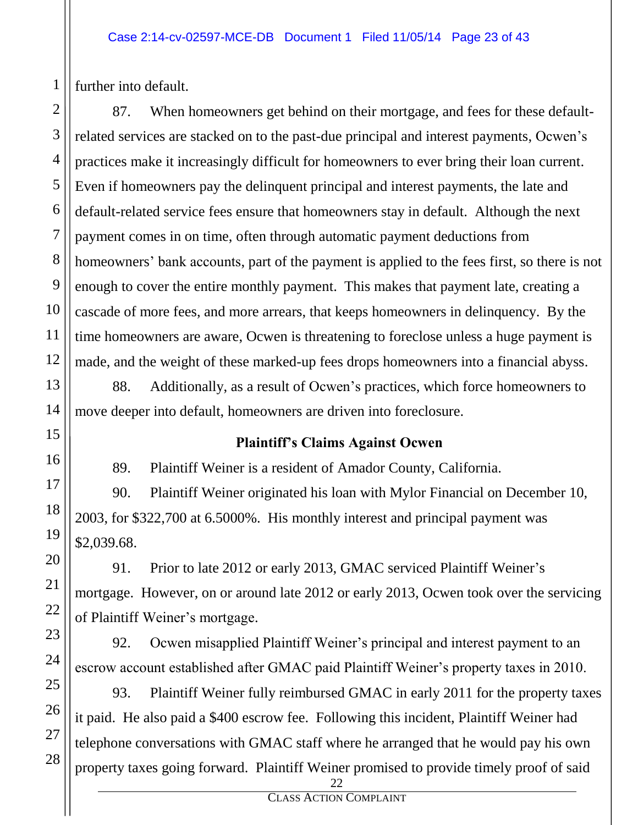further into default.

1

2

3

4

87. When homeowners get behind on their mortgage, and fees for these defaultrelated services are stacked on to the past-due principal and interest payments, Ocwen's practices make it increasingly difficult for homeowners to ever bring their loan current. Even if homeowners pay the delinquent principal and interest payments, the late and default-related service fees ensure that homeowners stay in default. Although the next payment comes in on time, often through automatic payment deductions from homeowners' bank accounts, part of the payment is applied to the fees first, so there is not enough to cover the entire monthly payment. This makes that payment late, creating a cascade of more fees, and more arrears, that keeps homeowners in delinquency. By the time homeowners are aware, Ocwen is threatening to foreclose unless a huge payment is made, and the weight of these marked-up fees drops homeowners into a financial abyss.

88. Additionally, as a result of Ocwen's practices, which force homeowners to move deeper into default, homeowners are driven into foreclosure.

## **Plaintiff's Claims Against Ocwen**

89. Plaintiff Weiner is a resident of Amador County, California.

90. Plaintiff Weiner originated his loan with Mylor Financial on December 10, 2003, for \$322,700 at 6.5000%. His monthly interest and principal payment was \$2,039.68.

91. Prior to late 2012 or early 2013, GMAC serviced Plaintiff Weiner's mortgage. However, on or around late 2012 or early 2013, Ocwen took over the servicing of Plaintiff Weiner's mortgage.

92. Ocwen misapplied Plaintiff Weiner's principal and interest payment to an escrow account established after GMAC paid Plaintiff Weiner's property taxes in 2010.

93. Plaintiff Weiner fully reimbursed GMAC in early 2011 for the property taxes it paid. He also paid a \$400 escrow fee. Following this incident, Plaintiff Weiner had telephone conversations with GMAC staff where he arranged that he would pay his own property taxes going forward. Plaintiff Weiner promised to provide timely proof of said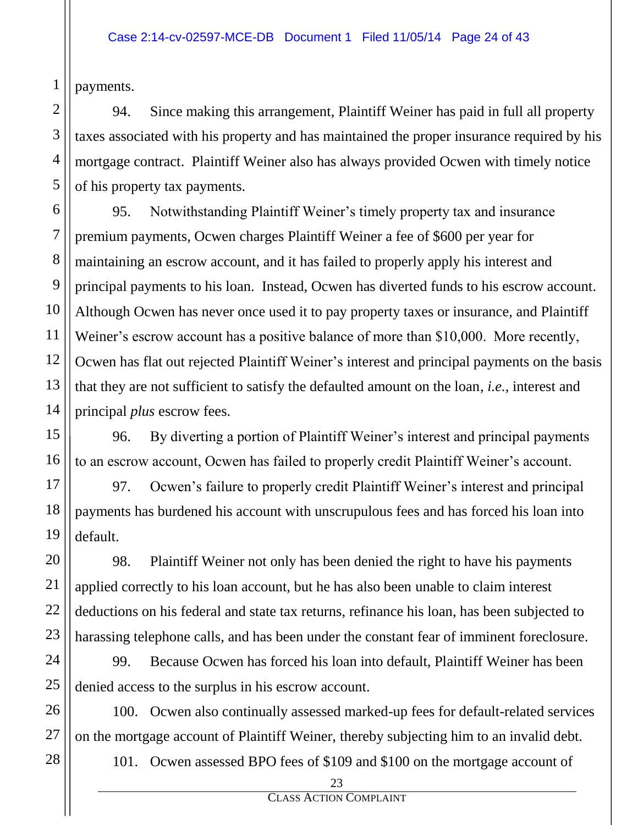payments.

1

2

94. Since making this arrangement, Plaintiff Weiner has paid in full all property taxes associated with his property and has maintained the proper insurance required by his mortgage contract. Plaintiff Weiner also has always provided Ocwen with timely notice of his property tax payments.

95. Notwithstanding Plaintiff Weiner's timely property tax and insurance premium payments, Ocwen charges Plaintiff Weiner a fee of \$600 per year for maintaining an escrow account, and it has failed to properly apply his interest and principal payments to his loan. Instead, Ocwen has diverted funds to his escrow account. Although Ocwen has never once used it to pay property taxes or insurance, and Plaintiff Weiner's escrow account has a positive balance of more than \$10,000. More recently, Ocwen has flat out rejected Plaintiff Weiner's interest and principal payments on the basis that they are not sufficient to satisfy the defaulted amount on the loan, *i.e.*, interest and principal *plus* escrow fees.

96. By diverting a portion of Plaintiff Weiner's interest and principal payments to an escrow account, Ocwen has failed to properly credit Plaintiff Weiner's account.

97. Ocwen's failure to properly credit Plaintiff Weiner's interest and principal payments has burdened his account with unscrupulous fees and has forced his loan into default.

98. Plaintiff Weiner not only has been denied the right to have his payments applied correctly to his loan account, but he has also been unable to claim interest deductions on his federal and state tax returns, refinance his loan, has been subjected to harassing telephone calls, and has been under the constant fear of imminent foreclosure.

99. Because Ocwen has forced his loan into default, Plaintiff Weiner has been denied access to the surplus in his escrow account.

100. Ocwen also continually assessed marked-up fees for default-related services on the mortgage account of Plaintiff Weiner, thereby subjecting him to an invalid debt.

101. Ocwen assessed BPO fees of \$109 and \$100 on the mortgage account of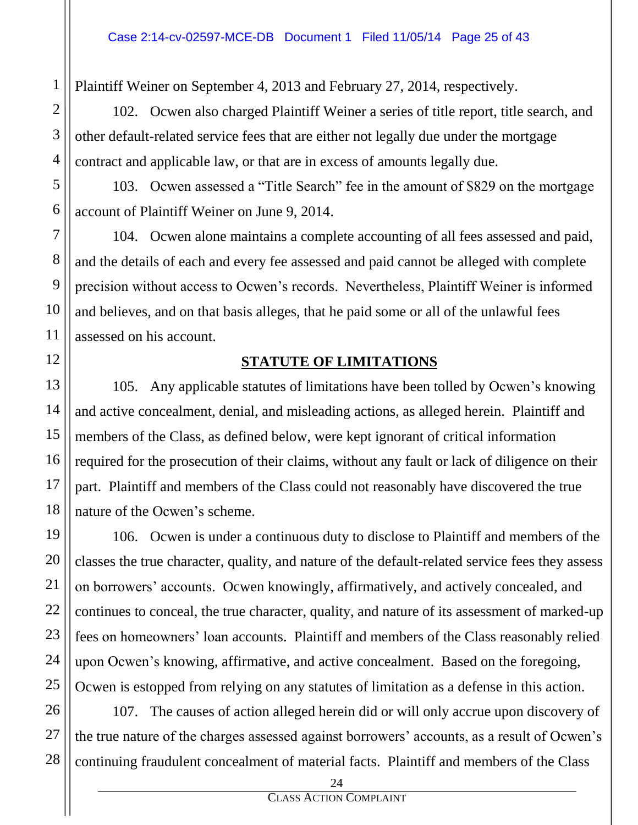Plaintiff Weiner on September 4, 2013 and February 27, 2014, respectively.

102. Ocwen also charged Plaintiff Weiner a series of title report, title search, and other default-related service fees that are either not legally due under the mortgage contract and applicable law, or that are in excess of amounts legally due.

103. Ocwen assessed a "Title Search" fee in the amount of \$829 on the mortgage account of Plaintiff Weiner on June 9, 2014.

104. Ocwen alone maintains a complete accounting of all fees assessed and paid, and the details of each and every fee assessed and paid cannot be alleged with complete precision without access to Ocwen's records. Nevertheless, Plaintiff Weiner is informed and believes, and on that basis alleges, that he paid some or all of the unlawful fees assessed on his account.

#### **STATUTE OF LIMITATIONS**

105. Any applicable statutes of limitations have been tolled by Ocwen's knowing and active concealment, denial, and misleading actions, as alleged herein. Plaintiff and members of the Class, as defined below, were kept ignorant of critical information required for the prosecution of their claims, without any fault or lack of diligence on their part. Plaintiff and members of the Class could not reasonably have discovered the true nature of the Ocwen's scheme.

106. Ocwen is under a continuous duty to disclose to Plaintiff and members of the classes the true character, quality, and nature of the default-related service fees they assess on borrowers' accounts. Ocwen knowingly, affirmatively, and actively concealed, and continues to conceal, the true character, quality, and nature of its assessment of marked-up fees on homeowners' loan accounts. Plaintiff and members of the Class reasonably relied upon Ocwen's knowing, affirmative, and active concealment. Based on the foregoing, Ocwen is estopped from relying on any statutes of limitation as a defense in this action.

107. The causes of action alleged herein did or will only accrue upon discovery of the true nature of the charges assessed against borrowers' accounts, as a result of Ocwen's continuing fraudulent concealment of material facts. Plaintiff and members of the Class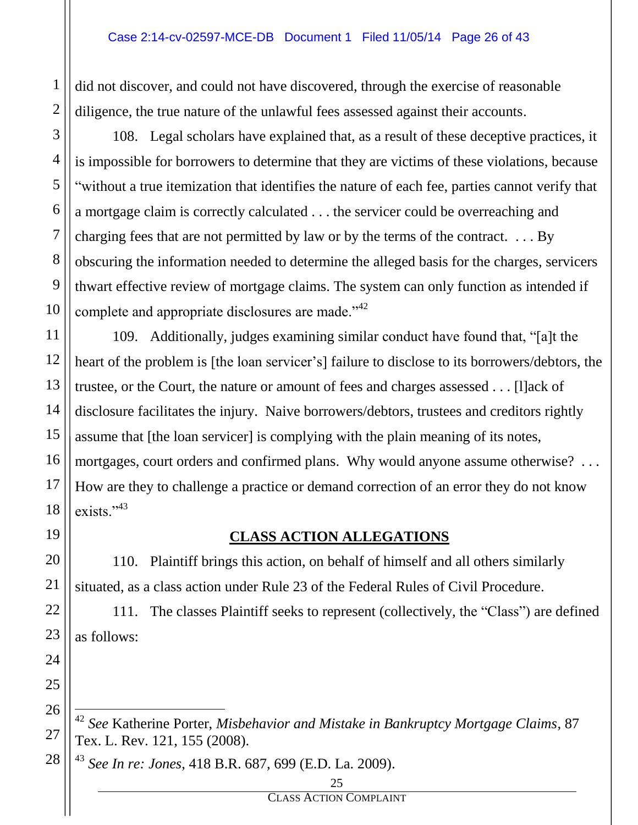did not discover, and could not have discovered, through the exercise of reasonable diligence, the true nature of the unlawful fees assessed against their accounts.

108. Legal scholars have explained that, as a result of these deceptive practices, it is impossible for borrowers to determine that they are victims of these violations, because "without a true itemization that identifies the nature of each fee, parties cannot verify that a mortgage claim is correctly calculated . . . the servicer could be overreaching and charging fees that are not permitted by law or by the terms of the contract. . . . By obscuring the information needed to determine the alleged basis for the charges, servicers thwart effective review of mortgage claims. The system can only function as intended if complete and appropriate disclosures are made."<sup>42</sup>

109. Additionally, judges examining similar conduct have found that, "[a]t the heart of the problem is [the loan servicer's] failure to disclose to its borrowers/debtors, the trustee, or the Court, the nature or amount of fees and charges assessed . . . [l]ack of disclosure facilitates the injury. Naive borrowers/debtors, trustees and creditors rightly assume that [the loan servicer] is complying with the plain meaning of its notes, mortgages, court orders and confirmed plans. Why would anyone assume otherwise? . . . How are they to challenge a practice or demand correction of an error they do not know exists."<sup>43</sup>

## **CLASS ACTION ALLEGATIONS**

110. Plaintiff brings this action, on behalf of himself and all others similarly situated, as a class action under Rule 23 of the Federal Rules of Civil Procedure.

111. The classes Plaintiff seeks to represent (collectively, the "Class") are defined as follows:

<sup>42</sup> *See* Katherine Porter, *Misbehavior and Mistake in Bankruptcy Mortgage Claims*, 87 Tex. L. Rev. 121, 155 (2008).

<sup>43</sup> *See In re: Jones*, 418 B.R. 687, 699 (E.D. La. 2009).

#### $25$

CLASS ACTION COMPLAINT

 $\overline{a}$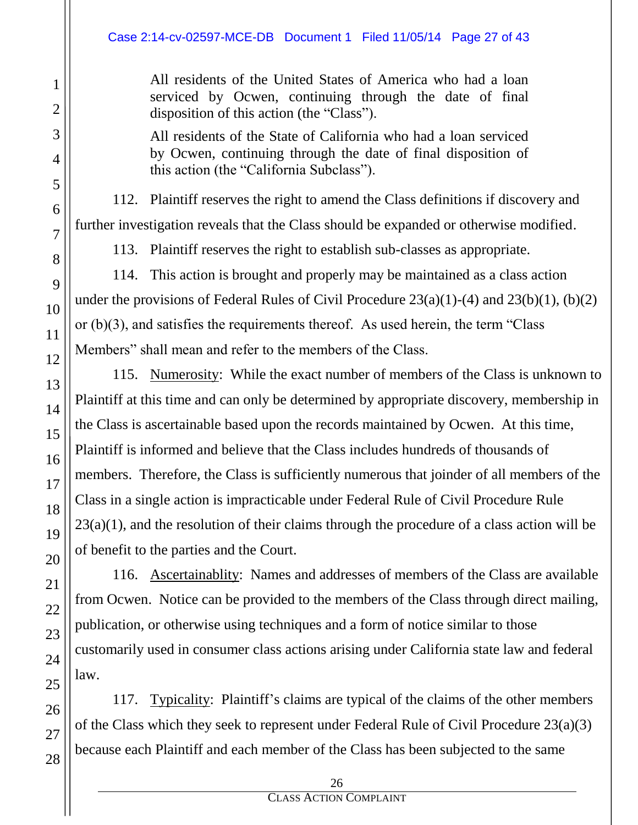All residents of the United States of America who had a loan serviced by Ocwen, continuing through the date of final disposition of this action (the "Class").

All residents of the State of California who had a loan serviced by Ocwen, continuing through the date of final disposition of this action (the "California Subclass").

112. Plaintiff reserves the right to amend the Class definitions if discovery and further investigation reveals that the Class should be expanded or otherwise modified.

113. Plaintiff reserves the right to establish sub-classes as appropriate.

114. This action is brought and properly may be maintained as a class action under the provisions of Federal Rules of Civil Procedure  $23(a)(1)-(4)$  and  $23(b)(1)$ ,  $(b)(2)$ or (b)(3), and satisfies the requirements thereof. As used herein, the term "Class Members" shall mean and refer to the members of the Class.

115. Numerosity: While the exact number of members of the Class is unknown to Plaintiff at this time and can only be determined by appropriate discovery, membership in the Class is ascertainable based upon the records maintained by Ocwen. At this time, Plaintiff is informed and believe that the Class includes hundreds of thousands of members. Therefore, the Class is sufficiently numerous that joinder of all members of the Class in a single action is impracticable under Federal Rule of Civil Procedure Rule  $23(a)(1)$ , and the resolution of their claims through the procedure of a class action will be of benefit to the parties and the Court.

116. Ascertainablity: Names and addresses of members of the Class are available from Ocwen. Notice can be provided to the members of the Class through direct mailing, publication, or otherwise using techniques and a form of notice similar to those customarily used in consumer class actions arising under California state law and federal law.

117. Typicality: Plaintiff's claims are typical of the claims of the other members of the Class which they seek to represent under Federal Rule of Civil Procedure 23(a)(3) because each Plaintiff and each member of the Class has been subjected to the same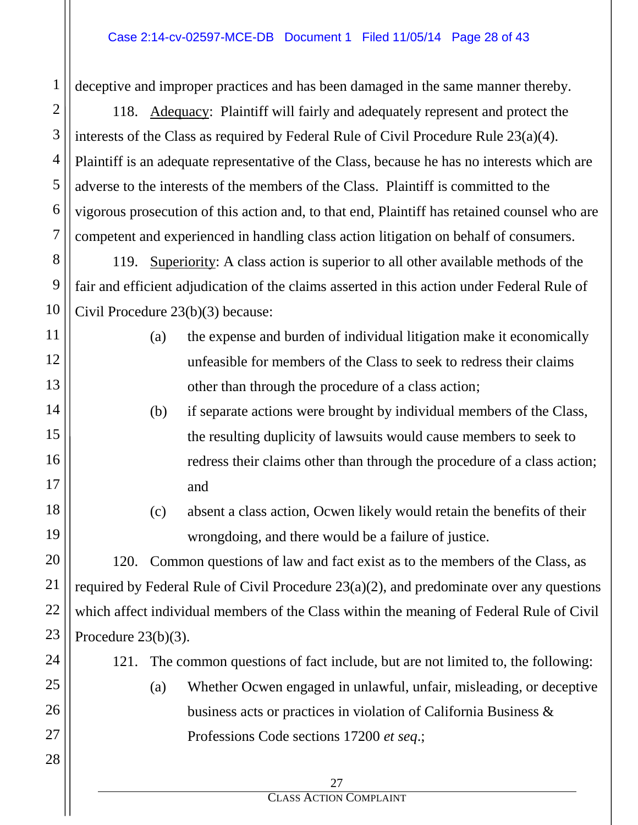#### Case 2:14-cv-02597-MCE-DB Document 1 Filed 11/05/14 Page 28 of 43

1 2 3 4 5 6 7 8 9 10 11 12 13 14 15 16 17 18 19 20 21 22 23 24 25 26 27 28  $27$ CLASS ACTION COMPLAINT deceptive and improper practices and has been damaged in the same manner thereby. 118. Adequacy: Plaintiff will fairly and adequately represent and protect the interests of the Class as required by Federal Rule of Civil Procedure Rule 23(a)(4). Plaintiff is an adequate representative of the Class, because he has no interests which are adverse to the interests of the members of the Class. Plaintiff is committed to the vigorous prosecution of this action and, to that end, Plaintiff has retained counsel who are competent and experienced in handling class action litigation on behalf of consumers. 119. Superiority: A class action is superior to all other available methods of the fair and efficient adjudication of the claims asserted in this action under Federal Rule of Civil Procedure 23(b)(3) because: (a) the expense and burden of individual litigation make it economically unfeasible for members of the Class to seek to redress their claims other than through the procedure of a class action; (b) if separate actions were brought by individual members of the Class, the resulting duplicity of lawsuits would cause members to seek to redress their claims other than through the procedure of a class action; and (c) absent a class action, Ocwen likely would retain the benefits of their wrongdoing, and there would be a failure of justice. 120. Common questions of law and fact exist as to the members of the Class, as required by Federal Rule of Civil Procedure 23(a)(2), and predominate over any questions which affect individual members of the Class within the meaning of Federal Rule of Civil Procedure 23(b)(3). 121. The common questions of fact include, but are not limited to, the following: (a) Whether Ocwen engaged in unlawful, unfair, misleading, or deceptive business acts or practices in violation of California Business & Professions Code sections 17200 *et seq*.;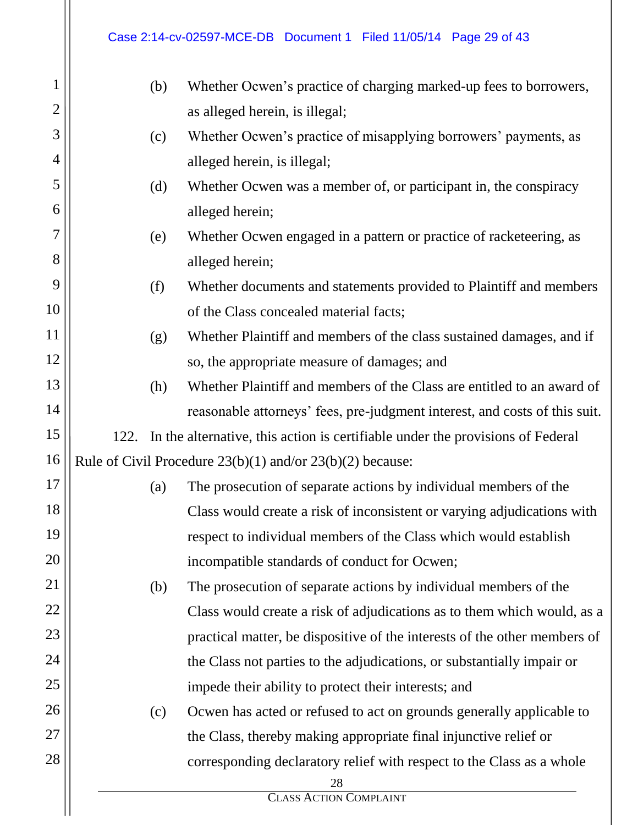# Case 2:14-cv-02597-MCE-DB Document 1 Filed 11/05/14 Page 29 of 43

| $\mathbf{1}$ | (b)                                                                       | Whether Ocwen's practice of charging marked-up fees to borrowers,              |  |  |  |  |
|--------------|---------------------------------------------------------------------------|--------------------------------------------------------------------------------|--|--|--|--|
| 2            |                                                                           | as alleged herein, is illegal;                                                 |  |  |  |  |
| 3            | (c)                                                                       | Whether Ocwen's practice of misapplying borrowers' payments, as                |  |  |  |  |
| 4            | alleged herein, is illegal;                                               |                                                                                |  |  |  |  |
| 5            | (d)                                                                       | Whether Ocwen was a member of, or participant in, the conspiracy               |  |  |  |  |
| 6            |                                                                           | alleged herein;                                                                |  |  |  |  |
| 7            | (e)                                                                       | Whether Ocwen engaged in a pattern or practice of racketeering, as             |  |  |  |  |
| 8            | alleged herein;                                                           |                                                                                |  |  |  |  |
| 9            | (f)<br>Whether documents and statements provided to Plaintiff and members |                                                                                |  |  |  |  |
| 10           |                                                                           | of the Class concealed material facts;                                         |  |  |  |  |
| 11           | (g)                                                                       | Whether Plaintiff and members of the class sustained damages, and if           |  |  |  |  |
| 12           |                                                                           | so, the appropriate measure of damages; and                                    |  |  |  |  |
| 13           | (h)                                                                       | Whether Plaintiff and members of the Class are entitled to an award of         |  |  |  |  |
| 14           |                                                                           | reasonable attorneys' fees, pre-judgment interest, and costs of this suit.     |  |  |  |  |
| 15           | 122.                                                                      | In the alternative, this action is certifiable under the provisions of Federal |  |  |  |  |
| 16           |                                                                           | Rule of Civil Procedure $23(b)(1)$ and/or $23(b)(2)$ because:                  |  |  |  |  |
| 17           | (a)                                                                       | The prosecution of separate actions by individual members of the               |  |  |  |  |
| 18           |                                                                           | Class would create a risk of inconsistent or varying adjudications with        |  |  |  |  |
| 19           | respect to individual members of the Class which would establish          |                                                                                |  |  |  |  |
| 20           |                                                                           | incompatible standards of conduct for Ocwen;                                   |  |  |  |  |
| 21           | The prosecution of separate actions by individual members of the<br>(b)   |                                                                                |  |  |  |  |
| 22           |                                                                           | Class would create a risk of adjudications as to them which would, as a        |  |  |  |  |
| 23           |                                                                           | practical matter, be dispositive of the interests of the other members of      |  |  |  |  |
| 24           |                                                                           | the Class not parties to the adjudications, or substantially impair or         |  |  |  |  |
| 25           |                                                                           | impede their ability to protect their interests; and                           |  |  |  |  |
| 26           | (c)                                                                       | Ocwen has acted or refused to act on grounds generally applicable to           |  |  |  |  |
| 27           |                                                                           | the Class, thereby making appropriate final injunctive relief or               |  |  |  |  |
| 28           |                                                                           | corresponding declaratory relief with respect to the Class as a whole          |  |  |  |  |
|              |                                                                           | 28<br><b>CLASS ACTION COMPLAINT</b>                                            |  |  |  |  |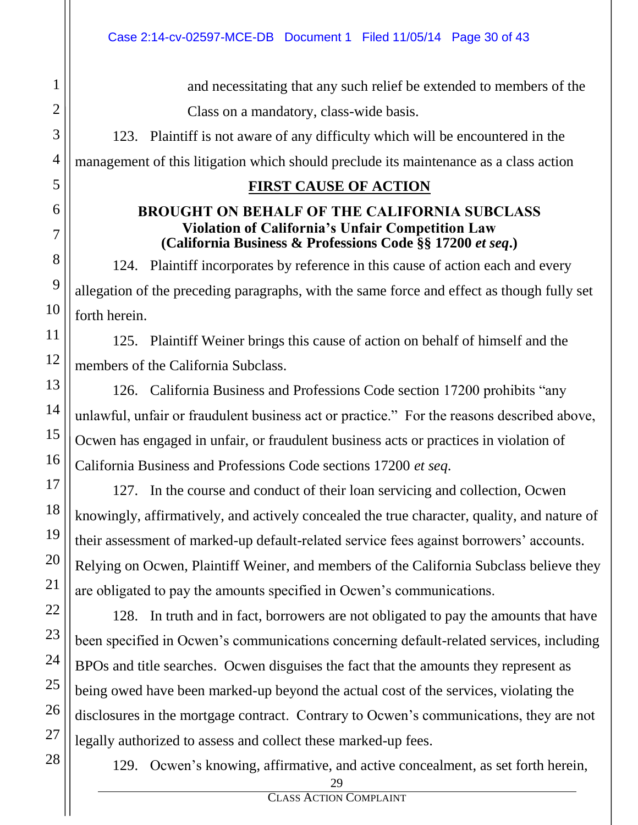and necessitating that any such relief be extended to members of the Class on a mandatory, class-wide basis.

123. Plaintiff is not aware of any difficulty which will be encountered in the management of this litigation which should preclude its maintenance as a class action

### **FIRST CAUSE OF ACTION**

#### **BROUGHT ON BEHALF OF THE CALIFORNIA SUBCLASS Violation of California's Unfair Competition Law (California Business & Professions Code §§ 17200** *et seq***.)**

124. Plaintiff incorporates by reference in this cause of action each and every allegation of the preceding paragraphs, with the same force and effect as though fully set forth herein.

125. Plaintiff Weiner brings this cause of action on behalf of himself and the members of the California Subclass.

126. California Business and Professions Code section 17200 prohibits "any unlawful, unfair or fraudulent business act or practice." For the reasons described above, Ocwen has engaged in unfair, or fraudulent business acts or practices in violation of California Business and Professions Code sections 17200 *et seq*.

127. In the course and conduct of their loan servicing and collection, Ocwen knowingly, affirmatively, and actively concealed the true character, quality, and nature of their assessment of marked-up default-related service fees against borrowers' accounts. Relying on Ocwen, Plaintiff Weiner, and members of the California Subclass believe they are obligated to pay the amounts specified in Ocwen's communications.

128. In truth and in fact, borrowers are not obligated to pay the amounts that have been specified in Ocwen's communications concerning default-related services, including BPOs and title searches. Ocwen disguises the fact that the amounts they represent as being owed have been marked-up beyond the actual cost of the services, violating the disclosures in the mortgage contract. Contrary to Ocwen's communications, they are not legally authorized to assess and collect these marked-up fees.

129. Ocwen's knowing, affirmative, and active concealment, as set forth herein,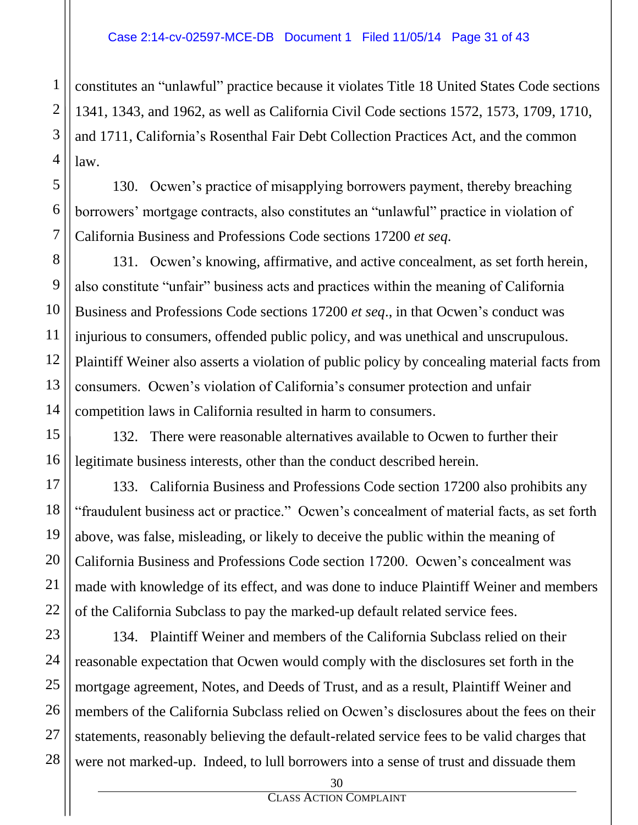constitutes an "unlawful" practice because it violates Title 18 United States Code sections 1341, 1343, and 1962, as well as California Civil Code sections 1572, 1573, 1709, 1710, and 1711, California's Rosenthal Fair Debt Collection Practices Act, and the common law.

130. Ocwen's practice of misapplying borrowers payment, thereby breaching borrowers' mortgage contracts, also constitutes an "unlawful" practice in violation of California Business and Professions Code sections 17200 *et seq*.

131. Ocwen's knowing, affirmative, and active concealment, as set forth herein, also constitute "unfair" business acts and practices within the meaning of California Business and Professions Code sections 17200 *et seq*., in that Ocwen's conduct was injurious to consumers, offended public policy, and was unethical and unscrupulous. Plaintiff Weiner also asserts a violation of public policy by concealing material facts from consumers. Ocwen's violation of California's consumer protection and unfair competition laws in California resulted in harm to consumers.

132. There were reasonable alternatives available to Ocwen to further their legitimate business interests, other than the conduct described herein.

133. California Business and Professions Code section 17200 also prohibits any "fraudulent business act or practice." Ocwen's concealment of material facts, as set forth above, was false, misleading, or likely to deceive the public within the meaning of California Business and Professions Code section 17200. Ocwen's concealment was made with knowledge of its effect, and was done to induce Plaintiff Weiner and members of the California Subclass to pay the marked-up default related service fees.

134. Plaintiff Weiner and members of the California Subclass relied on their reasonable expectation that Ocwen would comply with the disclosures set forth in the mortgage agreement, Notes, and Deeds of Trust, and as a result, Plaintiff Weiner and members of the California Subclass relied on Ocwen's disclosures about the fees on their statements, reasonably believing the default-related service fees to be valid charges that were not marked-up. Indeed, to lull borrowers into a sense of trust and dissuade them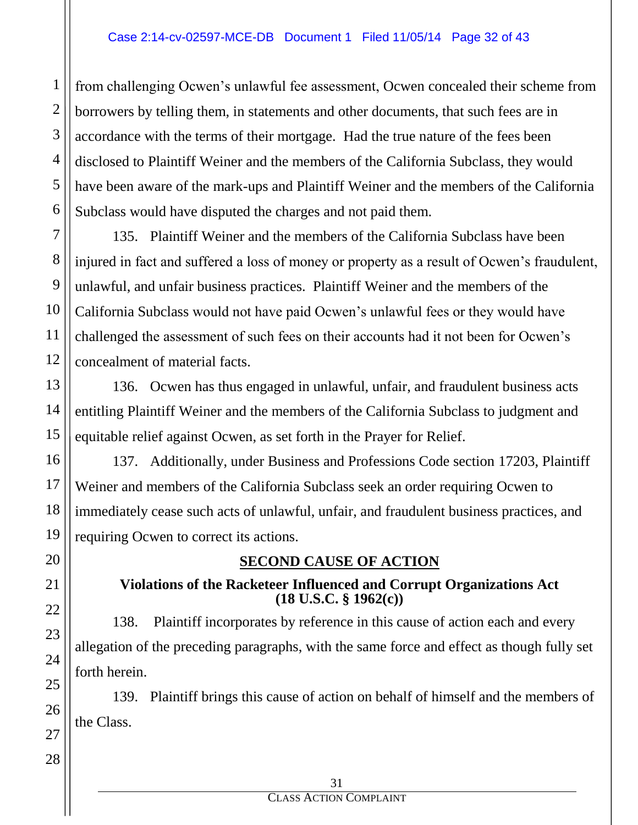from challenging Ocwen's unlawful fee assessment, Ocwen concealed their scheme from borrowers by telling them, in statements and other documents, that such fees are in accordance with the terms of their mortgage. Had the true nature of the fees been disclosed to Plaintiff Weiner and the members of the California Subclass, they would have been aware of the mark-ups and Plaintiff Weiner and the members of the California Subclass would have disputed the charges and not paid them.

135. Plaintiff Weiner and the members of the California Subclass have been injured in fact and suffered a loss of money or property as a result of Ocwen's fraudulent, unlawful, and unfair business practices. Plaintiff Weiner and the members of the California Subclass would not have paid Ocwen's unlawful fees or they would have challenged the assessment of such fees on their accounts had it not been for Ocwen's concealment of material facts.

136. Ocwen has thus engaged in unlawful, unfair, and fraudulent business acts entitling Plaintiff Weiner and the members of the California Subclass to judgment and equitable relief against Ocwen, as set forth in the Prayer for Relief.

137. Additionally, under Business and Professions Code section 17203, Plaintiff Weiner and members of the California Subclass seek an order requiring Ocwen to immediately cease such acts of unlawful, unfair, and fraudulent business practices, and requiring Ocwen to correct its actions.

# **SECOND CAUSE OF ACTION**

#### **Violations of the Racketeer Influenced and Corrupt Organizations Act (18 U.S.C. § 1962(c))**

138. Plaintiff incorporates by reference in this cause of action each and every allegation of the preceding paragraphs, with the same force and effect as though fully set forth herein.

139. Plaintiff brings this cause of action on behalf of himself and the members of the Class.

1

2

3

4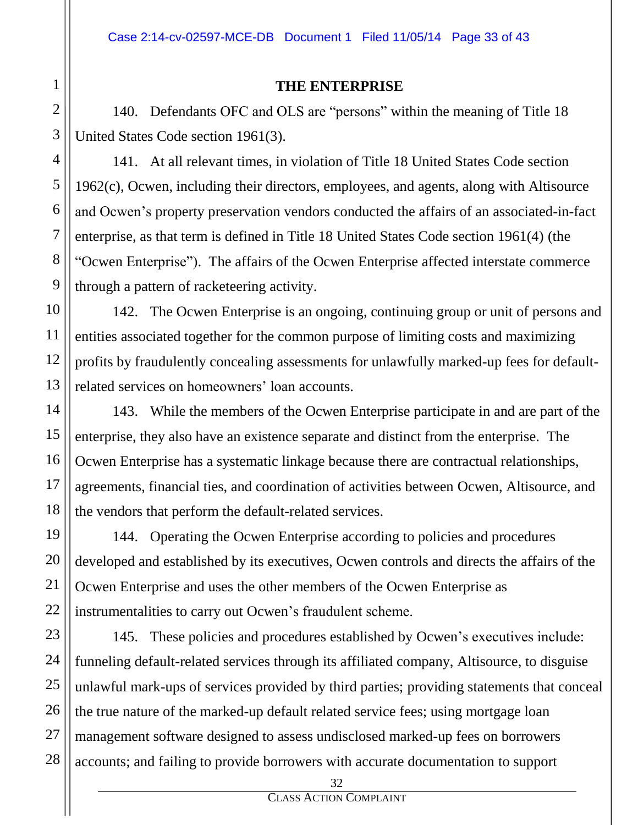#### **THE ENTERPRISE**

140. Defendants OFC and OLS are "persons" within the meaning of Title 18 United States Code section 1961(3).

141. At all relevant times, in violation of Title 18 United States Code section 1962(c), Ocwen, including their directors, employees, and agents, along with Altisource and Ocwen's property preservation vendors conducted the affairs of an associated-in-fact enterprise, as that term is defined in Title 18 United States Code section 1961(4) (the "Ocwen Enterprise"). The affairs of the Ocwen Enterprise affected interstate commerce through a pattern of racketeering activity.

142. The Ocwen Enterprise is an ongoing, continuing group or unit of persons and entities associated together for the common purpose of limiting costs and maximizing profits by fraudulently concealing assessments for unlawfully marked-up fees for defaultrelated services on homeowners' loan accounts.

143. While the members of the Ocwen Enterprise participate in and are part of the enterprise, they also have an existence separate and distinct from the enterprise. The Ocwen Enterprise has a systematic linkage because there are contractual relationships, agreements, financial ties, and coordination of activities between Ocwen, Altisource, and the vendors that perform the default-related services.

144. Operating the Ocwen Enterprise according to policies and procedures developed and established by its executives, Ocwen controls and directs the affairs of the Ocwen Enterprise and uses the other members of the Ocwen Enterprise as instrumentalities to carry out Ocwen's fraudulent scheme.

145. These policies and procedures established by Ocwen's executives include: funneling default-related services through its affiliated company, Altisource, to disguise unlawful mark-ups of services provided by third parties; providing statements that conceal the true nature of the marked-up default related service fees; using mortgage loan management software designed to assess undisclosed marked-up fees on borrowers accounts; and failing to provide borrowers with accurate documentation to support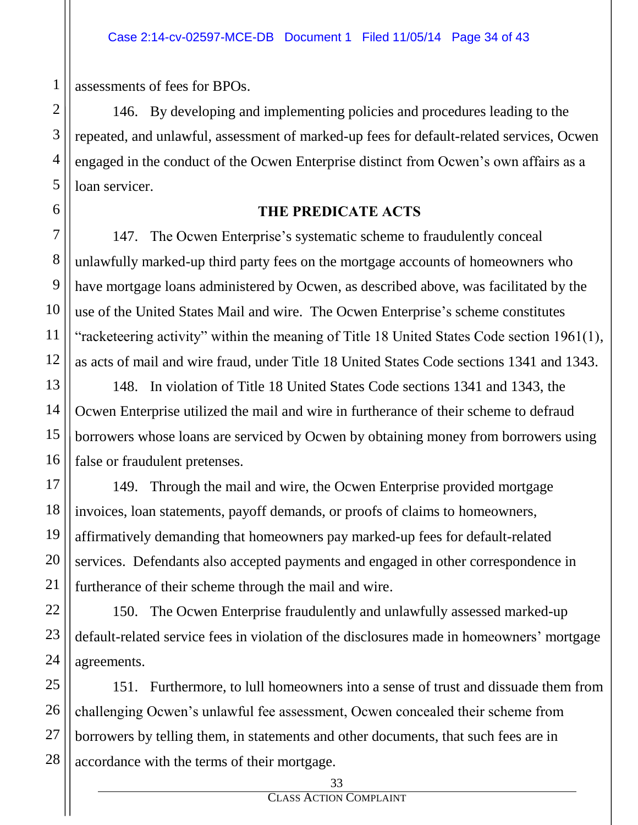assessments of fees for BPOs.

146. By developing and implementing policies and procedures leading to the repeated, and unlawful, assessment of marked-up fees for default-related services, Ocwen engaged in the conduct of the Ocwen Enterprise distinct from Ocwen's own affairs as a loan servicer.

#### **THE PREDICATE ACTS**

147. The Ocwen Enterprise's systematic scheme to fraudulently conceal unlawfully marked-up third party fees on the mortgage accounts of homeowners who have mortgage loans administered by Ocwen, as described above, was facilitated by the use of the United States Mail and wire. The Ocwen Enterprise's scheme constitutes "racketeering activity" within the meaning of Title 18 United States Code section 1961(1), as acts of mail and wire fraud, under Title 18 United States Code sections 1341 and 1343.

148. In violation of Title 18 United States Code sections 1341 and 1343, the Ocwen Enterprise utilized the mail and wire in furtherance of their scheme to defraud borrowers whose loans are serviced by Ocwen by obtaining money from borrowers using false or fraudulent pretenses.

149. Through the mail and wire, the Ocwen Enterprise provided mortgage invoices, loan statements, payoff demands, or proofs of claims to homeowners, affirmatively demanding that homeowners pay marked-up fees for default-related services. Defendants also accepted payments and engaged in other correspondence in furtherance of their scheme through the mail and wire.

150. The Ocwen Enterprise fraudulently and unlawfully assessed marked-up default-related service fees in violation of the disclosures made in homeowners' mortgage agreements.

151. Furthermore, to lull homeowners into a sense of trust and dissuade them from challenging Ocwen's unlawful fee assessment, Ocwen concealed their scheme from borrowers by telling them, in statements and other documents, that such fees are in accordance with the terms of their mortgage.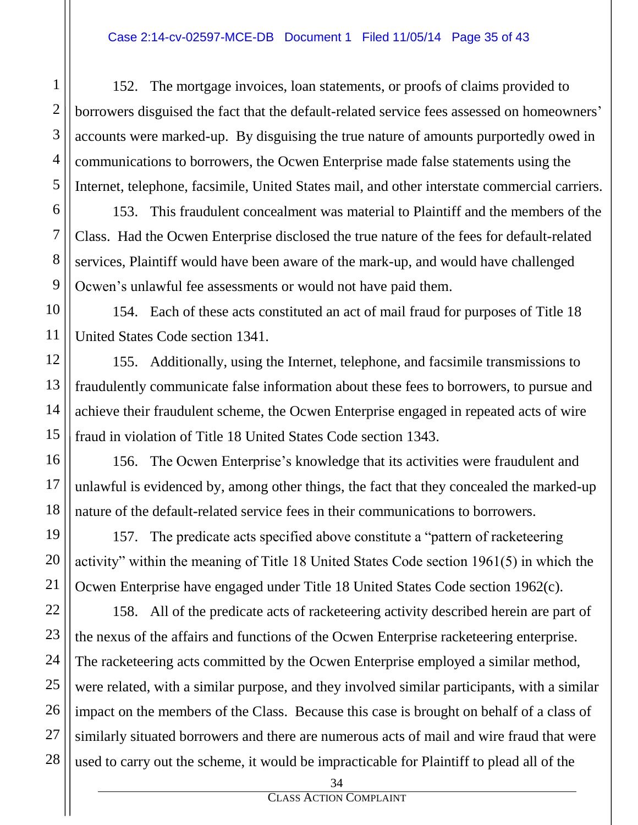152. The mortgage invoices, loan statements, or proofs of claims provided to borrowers disguised the fact that the default-related service fees assessed on homeowners' accounts were marked-up. By disguising the true nature of amounts purportedly owed in communications to borrowers, the Ocwen Enterprise made false statements using the Internet, telephone, facsimile, United States mail, and other interstate commercial carriers.

153. This fraudulent concealment was material to Plaintiff and the members of the Class. Had the Ocwen Enterprise disclosed the true nature of the fees for default-related services, Plaintiff would have been aware of the mark-up, and would have challenged Ocwen's unlawful fee assessments or would not have paid them.

154. Each of these acts constituted an act of mail fraud for purposes of Title 18 United States Code section 1341.

155. Additionally, using the Internet, telephone, and facsimile transmissions to fraudulently communicate false information about these fees to borrowers, to pursue and achieve their fraudulent scheme, the Ocwen Enterprise engaged in repeated acts of wire fraud in violation of Title 18 United States Code section 1343.

156. The Ocwen Enterprise's knowledge that its activities were fraudulent and unlawful is evidenced by, among other things, the fact that they concealed the marked-up nature of the default-related service fees in their communications to borrowers.

157. The predicate acts specified above constitute a "pattern of racketeering activity" within the meaning of Title 18 United States Code section 1961(5) in which the Ocwen Enterprise have engaged under Title 18 United States Code section 1962(c).

158. All of the predicate acts of racketeering activity described herein are part of the nexus of the affairs and functions of the Ocwen Enterprise racketeering enterprise. The racketeering acts committed by the Ocwen Enterprise employed a similar method, were related, with a similar purpose, and they involved similar participants, with a similar impact on the members of the Class. Because this case is brought on behalf of a class of similarly situated borrowers and there are numerous acts of mail and wire fraud that were used to carry out the scheme, it would be impracticable for Plaintiff to plead all of the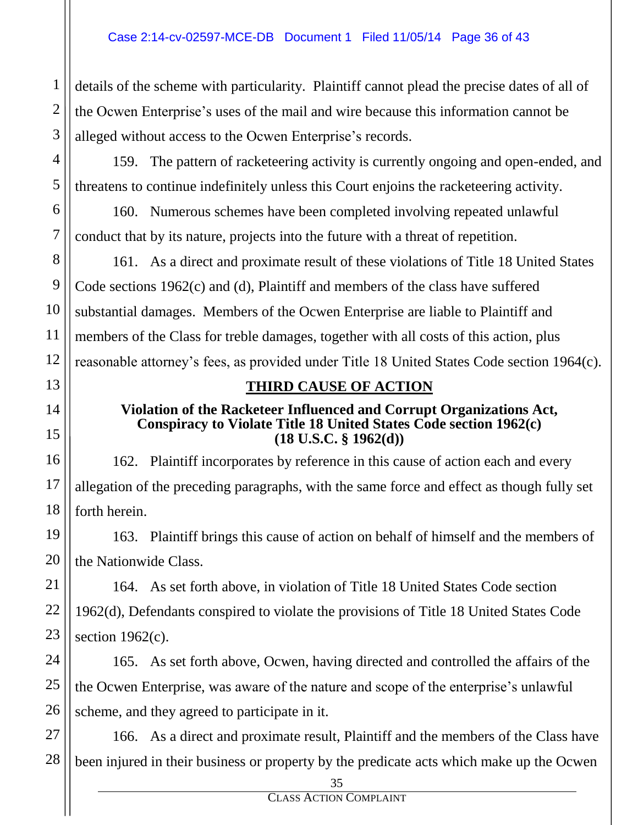details of the scheme with particularity. Plaintiff cannot plead the precise dates of all of the Ocwen Enterprise's uses of the mail and wire because this information cannot be alleged without access to the Ocwen Enterprise's records.

159. The pattern of racketeering activity is currently ongoing and open-ended, and threatens to continue indefinitely unless this Court enjoins the racketeering activity.

160. Numerous schemes have been completed involving repeated unlawful conduct that by its nature, projects into the future with a threat of repetition.

161. As a direct and proximate result of these violations of Title 18 United States Code sections 1962(c) and (d), Plaintiff and members of the class have suffered substantial damages. Members of the Ocwen Enterprise are liable to Plaintiff and members of the Class for treble damages, together with all costs of this action, plus reasonable attorney's fees, as provided under Title 18 United States Code section 1964(c).

# **THIRD CAUSE OF ACTION**

#### **Violation of the Racketeer Influenced and Corrupt Organizations Act, Conspiracy to Violate Title 18 United States Code section 1962(c) (18 U.S.C. § 1962(d))**

162. Plaintiff incorporates by reference in this cause of action each and every allegation of the preceding paragraphs, with the same force and effect as though fully set forth herein.

163. Plaintiff brings this cause of action on behalf of himself and the members of the Nationwide Class.

164. As set forth above, in violation of Title 18 United States Code section 1962(d), Defendants conspired to violate the provisions of Title 18 United States Code section  $1962(c)$ .

165. As set forth above, Ocwen, having directed and controlled the affairs of the the Ocwen Enterprise, was aware of the nature and scope of the enterprise's unlawful scheme, and they agreed to participate in it.

166. As a direct and proximate result, Plaintiff and the members of the Class have been injured in their business or property by the predicate acts which make up the Ocwen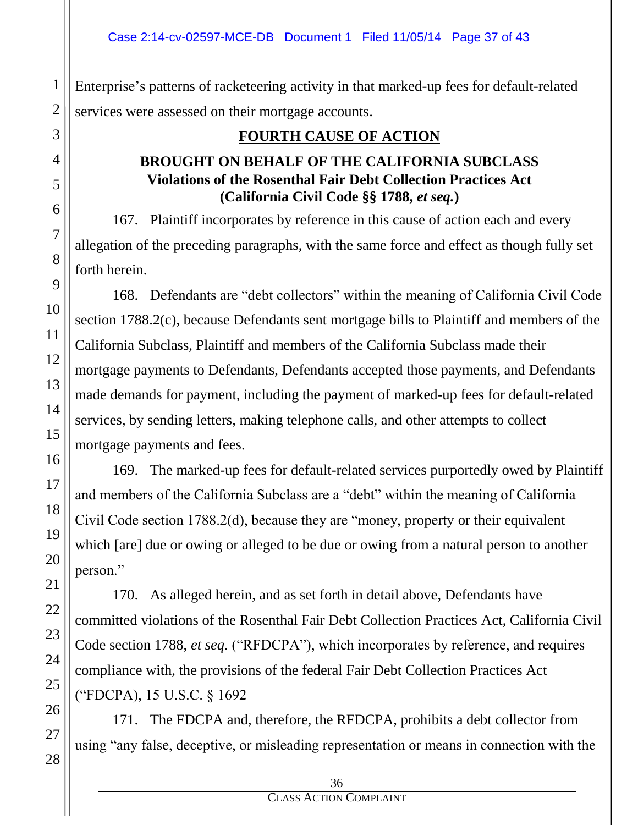Enterprise's patterns of racketeering activity in that marked-up fees for default-related services were assessed on their mortgage accounts.

# **FOURTH CAUSE OF ACTION**

## **BROUGHT ON BEHALF OF THE CALIFORNIA SUBCLASS Violations of the Rosenthal Fair Debt Collection Practices Act (California Civil Code §§ 1788,** *et seq.***)**

167. Plaintiff incorporates by reference in this cause of action each and every allegation of the preceding paragraphs, with the same force and effect as though fully set forth herein.

168. Defendants are "debt collectors" within the meaning of California Civil Code section 1788.2(c), because Defendants sent mortgage bills to Plaintiff and members of the California Subclass, Plaintiff and members of the California Subclass made their mortgage payments to Defendants, Defendants accepted those payments, and Defendants made demands for payment, including the payment of marked-up fees for default-related services, by sending letters, making telephone calls, and other attempts to collect mortgage payments and fees.

169. The marked-up fees for default-related services purportedly owed by Plaintiff and members of the California Subclass are a "debt" within the meaning of California Civil Code section 1788.2(d), because they are "money, property or their equivalent which [are] due or owing or alleged to be due or owing from a natural person to another person."

170. As alleged herein, and as set forth in detail above, Defendants have committed violations of the Rosenthal Fair Debt Collection Practices Act, California Civil Code section 1788, *et seq.* ("RFDCPA"), which incorporates by reference, and requires compliance with, the provisions of the federal Fair Debt Collection Practices Act ("FDCPA), 15 U.S.C. § 1692

171. The FDCPA and, therefore, the RFDCPA, prohibits a debt collector from using "any false, deceptive, or misleading representation or means in connection with the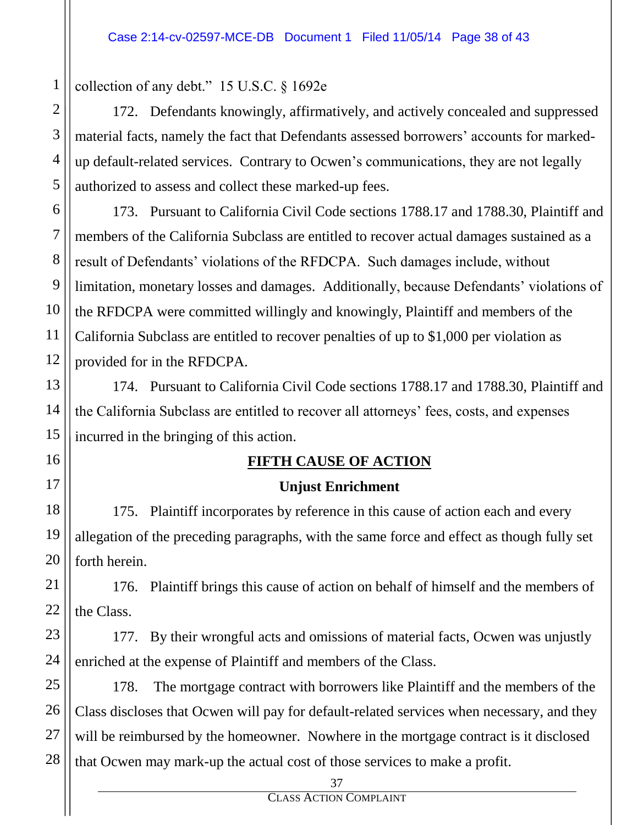collection of any debt." 15 U.S.C. § 1692e

172. Defendants knowingly, affirmatively, and actively concealed and suppressed material facts, namely the fact that Defendants assessed borrowers' accounts for markedup default-related services. Contrary to Ocwen's communications, they are not legally authorized to assess and collect these marked-up fees.

173. Pursuant to California Civil Code sections 1788.17 and 1788.30, Plaintiff and members of the California Subclass are entitled to recover actual damages sustained as a result of Defendants' violations of the RFDCPA. Such damages include, without limitation, monetary losses and damages. Additionally, because Defendants' violations of the RFDCPA were committed willingly and knowingly, Plaintiff and members of the California Subclass are entitled to recover penalties of up to \$1,000 per violation as provided for in the RFDCPA.

174. Pursuant to California Civil Code sections 1788.17 and 1788.30, Plaintiff and the California Subclass are entitled to recover all attorneys' fees, costs, and expenses incurred in the bringing of this action.

## **FIFTH CAUSE OF ACTION**

# **Unjust Enrichment**

175. Plaintiff incorporates by reference in this cause of action each and every allegation of the preceding paragraphs, with the same force and effect as though fully set forth herein.

176. Plaintiff brings this cause of action on behalf of himself and the members of the Class.

177. By their wrongful acts and omissions of material facts, Ocwen was unjustly enriched at the expense of Plaintiff and members of the Class.

178. The mortgage contract with borrowers like Plaintiff and the members of the Class discloses that Ocwen will pay for default-related services when necessary, and they will be reimbursed by the homeowner. Nowhere in the mortgage contract is it disclosed that Ocwen may mark-up the actual cost of those services to make a profit.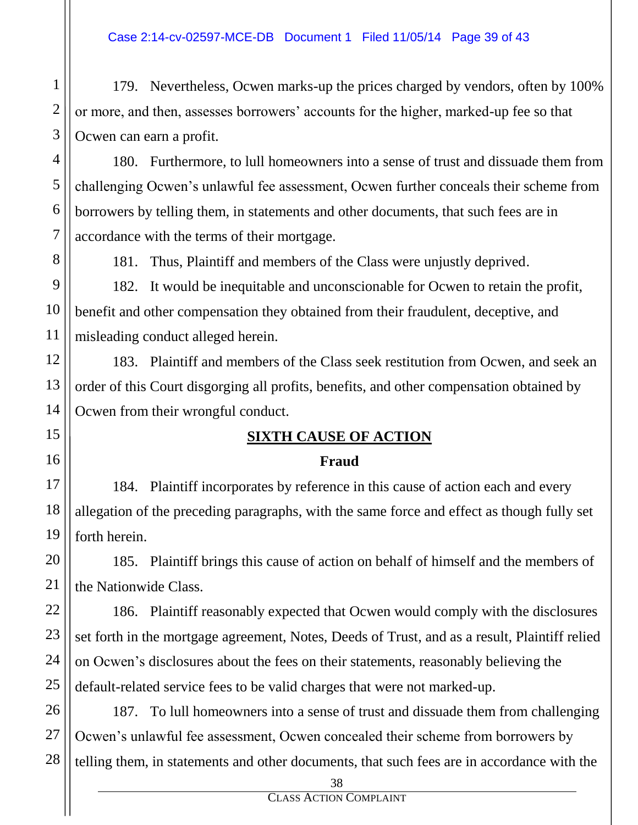179. Nevertheless, Ocwen marks-up the prices charged by vendors, often by 100% or more, and then, assesses borrowers' accounts for the higher, marked-up fee so that Ocwen can earn a profit.

180. Furthermore, to lull homeowners into a sense of trust and dissuade them from challenging Ocwen's unlawful fee assessment, Ocwen further conceals their scheme from borrowers by telling them, in statements and other documents, that such fees are in accordance with the terms of their mortgage.

181. Thus, Plaintiff and members of the Class were unjustly deprived.

182. It would be inequitable and unconscionable for Ocwen to retain the profit, benefit and other compensation they obtained from their fraudulent, deceptive, and misleading conduct alleged herein.

183. Plaintiff and members of the Class seek restitution from Ocwen, and seek an order of this Court disgorging all profits, benefits, and other compensation obtained by Ocwen from their wrongful conduct.

# **SIXTH CAUSE OF ACTION**

# **Fraud**

184. Plaintiff incorporates by reference in this cause of action each and every allegation of the preceding paragraphs, with the same force and effect as though fully set forth herein.

185. Plaintiff brings this cause of action on behalf of himself and the members of the Nationwide Class.

186. Plaintiff reasonably expected that Ocwen would comply with the disclosures set forth in the mortgage agreement, Notes, Deeds of Trust, and as a result, Plaintiff relied on Ocwen's disclosures about the fees on their statements, reasonably believing the default-related service fees to be valid charges that were not marked-up.

187. To lull homeowners into a sense of trust and dissuade them from challenging Ocwen's unlawful fee assessment, Ocwen concealed their scheme from borrowers by telling them, in statements and other documents, that such fees are in accordance with the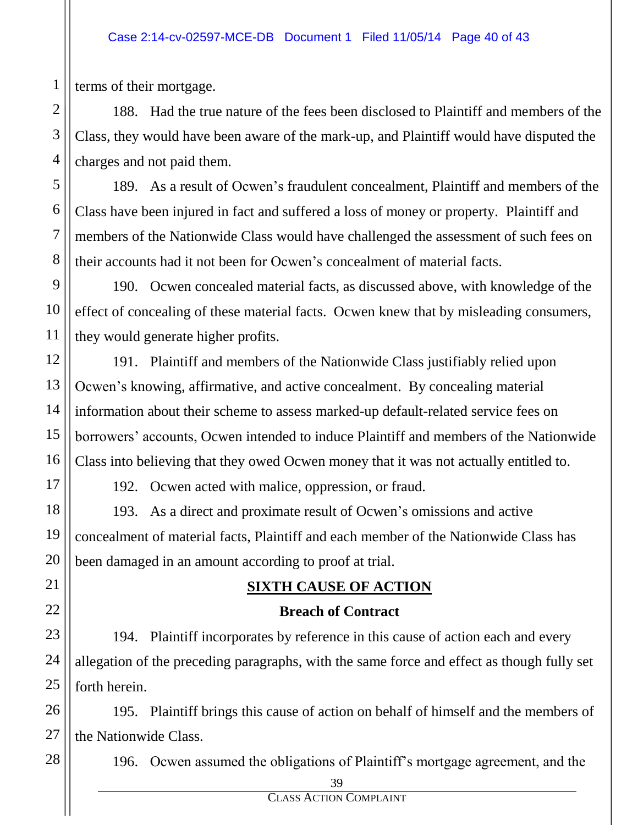terms of their mortgage.

188. Had the true nature of the fees been disclosed to Plaintiff and members of the Class, they would have been aware of the mark-up, and Plaintiff would have disputed the charges and not paid them.

189. As a result of Ocwen's fraudulent concealment, Plaintiff and members of the Class have been injured in fact and suffered a loss of money or property. Plaintiff and members of the Nationwide Class would have challenged the assessment of such fees on their accounts had it not been for Ocwen's concealment of material facts.

190. Ocwen concealed material facts, as discussed above, with knowledge of the effect of concealing of these material facts. Ocwen knew that by misleading consumers, they would generate higher profits.

191. Plaintiff and members of the Nationwide Class justifiably relied upon Ocwen's knowing, affirmative, and active concealment. By concealing material information about their scheme to assess marked-up default-related service fees on borrowers' accounts, Ocwen intended to induce Plaintiff and members of the Nationwide Class into believing that they owed Ocwen money that it was not actually entitled to.

192. Ocwen acted with malice, oppression, or fraud.

193. As a direct and proximate result of Ocwen's omissions and active concealment of material facts, Plaintiff and each member of the Nationwide Class has been damaged in an amount according to proof at trial.

# **SIXTH CAUSE OF ACTION**

## **Breach of Contract**

194. Plaintiff incorporates by reference in this cause of action each and every allegation of the preceding paragraphs, with the same force and effect as though fully set forth herein.

195. Plaintiff brings this cause of action on behalf of himself and the members of the Nationwide Class.

196. Ocwen assumed the obligations of Plaintiff's mortgage agreement, and the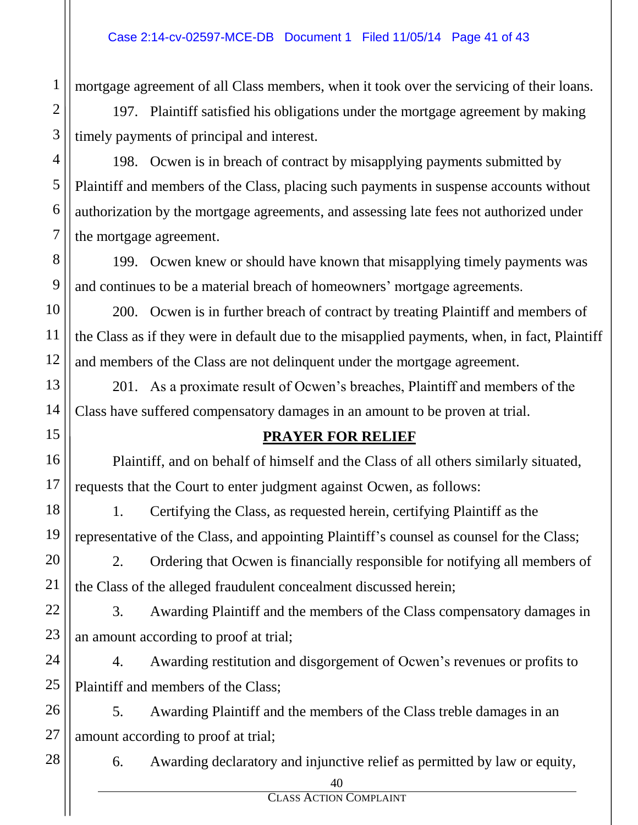mortgage agreement of all Class members, when it took over the servicing of their loans.

197. Plaintiff satisfied his obligations under the mortgage agreement by making timely payments of principal and interest.

198. Ocwen is in breach of contract by misapplying payments submitted by Plaintiff and members of the Class, placing such payments in suspense accounts without authorization by the mortgage agreements, and assessing late fees not authorized under the mortgage agreement.

199. Ocwen knew or should have known that misapplying timely payments was and continues to be a material breach of homeowners' mortgage agreements.

200. Ocwen is in further breach of contract by treating Plaintiff and members of the Class as if they were in default due to the misapplied payments, when, in fact, Plaintiff and members of the Class are not delinquent under the mortgage agreement.

201. As a proximate result of Ocwen's breaches, Plaintiff and members of the Class have suffered compensatory damages in an amount to be proven at trial.

# **PRAYER FOR RELIEF**

Plaintiff, and on behalf of himself and the Class of all others similarly situated, requests that the Court to enter judgment against Ocwen, as follows:

1. Certifying the Class, as requested herein, certifying Plaintiff as the representative of the Class, and appointing Plaintiff's counsel as counsel for the Class;

2. Ordering that Ocwen is financially responsible for notifying all members of the Class of the alleged fraudulent concealment discussed herein;

3. Awarding Plaintiff and the members of the Class compensatory damages in an amount according to proof at trial;

24 25 4. Awarding restitution and disgorgement of Ocwen's revenues or profits to Plaintiff and members of the Class;

5. Awarding Plaintiff and the members of the Class treble damages in an amount according to proof at trial;

28

26

27

1

2

3

4

5

6

7

8

9

10

11

12

13

14

15

16

17

18

19

20

21

22

23

6. Awarding declaratory and injunctive relief as permitted by law or equity,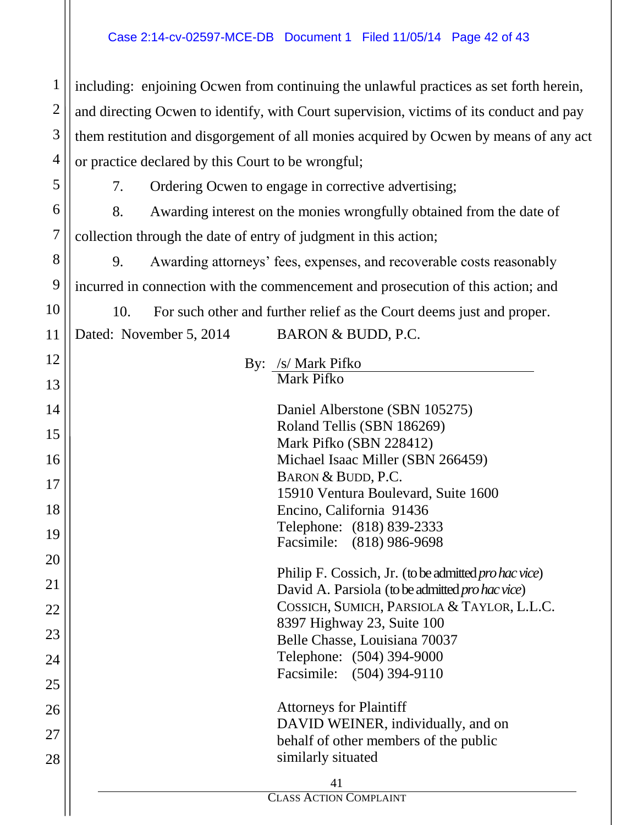#### Case 2:14-cv-02597-MCE-DB Document 1 Filed 11/05/14 Page 42 of 43

including: enjoining Ocwen from continuing the unlawful practices as set forth herein, and directing Ocwen to identify, with Court supervision, victims of its conduct and pay them restitution and disgorgement of all monies acquired by Ocwen by means of any act or practice declared by this Court to be wrongful;

6 7 7. Ordering Ocwen to engage in corrective advertising; 8. Awarding interest on the monies wrongfully obtained from the date of collection through the date of entry of judgment in this action;

9. Awarding attorneys' fees, expenses, and recoverable costs reasonably incurred in connection with the commencement and prosecution of this action; and

10. For such other and further relief as the Court deems just and proper.

Dated: November 5, 2014 BARON & BUDD, P.C.

1

2

3

4

5

8

9

10

11

12

13

By: /s/ Mark Pifko Mark Pifko

| 14 | Daniel Alberstone (SBN 105275)                                                                          |  |  |  |  |
|----|---------------------------------------------------------------------------------------------------------|--|--|--|--|
| 15 | Roland Tellis (SBN 186269)                                                                              |  |  |  |  |
|    | Mark Pifko (SBN 228412)                                                                                 |  |  |  |  |
| 16 | Michael Isaac Miller (SBN 266459)                                                                       |  |  |  |  |
| 17 | BARON & BUDD, P.C.                                                                                      |  |  |  |  |
|    | 15910 Ventura Boulevard, Suite 1600                                                                     |  |  |  |  |
| 18 | Encino, California 91436                                                                                |  |  |  |  |
| 19 | Telephone: (818) 839-2333                                                                               |  |  |  |  |
|    | Facsimile: (818) 986-9698                                                                               |  |  |  |  |
| 20 |                                                                                                         |  |  |  |  |
| 21 | Philip F. Cossich, Jr. (to be admitted pro hac vice)<br>David A. Parsiola (to be admitted pro hac vice) |  |  |  |  |
|    | COSSICH, SUMICH, PARSIOLA & TAYLOR, L.L.C.                                                              |  |  |  |  |
| 22 | 8397 Highway 23, Suite 100                                                                              |  |  |  |  |
| 23 | Belle Chasse, Louisiana 70037                                                                           |  |  |  |  |
| 24 | Telephone: (504) 394-9000                                                                               |  |  |  |  |
|    | Facsimile: (504) 394-9110                                                                               |  |  |  |  |
| 25 |                                                                                                         |  |  |  |  |
| 26 | <b>Attorneys for Plaintiff</b>                                                                          |  |  |  |  |
|    | DAVID WEINER, individually, and on                                                                      |  |  |  |  |
| 27 | behalf of other members of the public                                                                   |  |  |  |  |
| 28 | similarly situated                                                                                      |  |  |  |  |
|    |                                                                                                         |  |  |  |  |
| 41 |                                                                                                         |  |  |  |  |
|    | <b>CLASS ACTION COMPLAINT</b>                                                                           |  |  |  |  |
|    |                                                                                                         |  |  |  |  |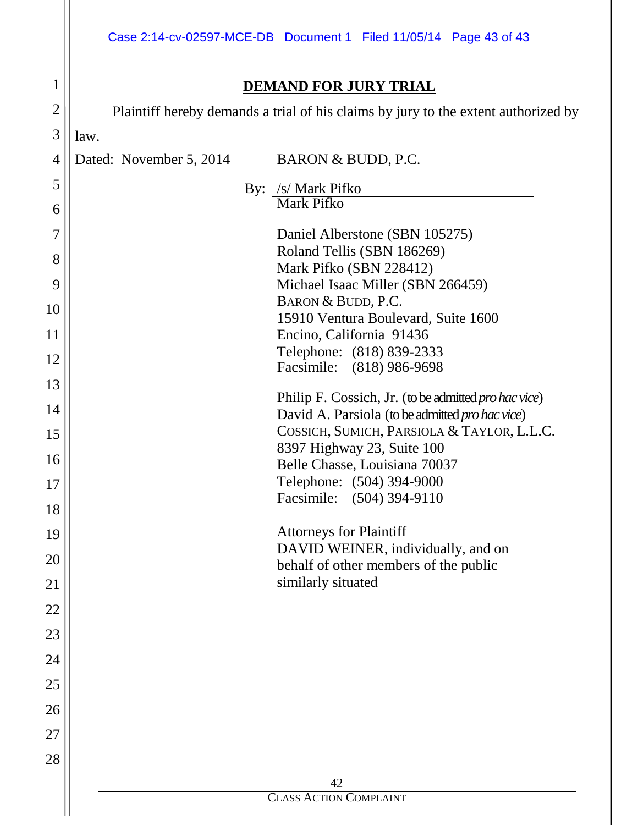|                |                              | Case 2:14-cv-02597-MCE-DB  Document 1  Filed 11/05/14  Page 43 of 43                          |  |  |  |  |  |  |
|----------------|------------------------------|-----------------------------------------------------------------------------------------------|--|--|--|--|--|--|
| 1              | <b>DEMAND FOR JURY TRIAL</b> |                                                                                               |  |  |  |  |  |  |
| $\overline{2}$ |                              | Plaintiff hereby demands a trial of his claims by jury to the extent authorized by            |  |  |  |  |  |  |
| 3              | law.                         |                                                                                               |  |  |  |  |  |  |
| 4              | Dated: November 5, 2014      | BARON & BUDD, P.C.                                                                            |  |  |  |  |  |  |
| 5              |                              | By: /s/ Mark Pifko                                                                            |  |  |  |  |  |  |
| 6              |                              | <b>Mark Pifko</b>                                                                             |  |  |  |  |  |  |
| 7              |                              | Daniel Alberstone (SBN 105275)                                                                |  |  |  |  |  |  |
| 8              |                              | Roland Tellis (SBN 186269)                                                                    |  |  |  |  |  |  |
| 9              |                              | Mark Pifko (SBN 228412)<br>Michael Isaac Miller (SBN 266459)                                  |  |  |  |  |  |  |
| 10             |                              | BARON & BUDD, P.C.                                                                            |  |  |  |  |  |  |
| 11             |                              | 15910 Ventura Boulevard, Suite 1600                                                           |  |  |  |  |  |  |
|                |                              | Encino, California 91436<br>Telephone: (818) 839-2333                                         |  |  |  |  |  |  |
| 12             |                              | Facsimile: (818) 986-9698                                                                     |  |  |  |  |  |  |
| 13<br>14       |                              | Philip F. Cossich, Jr. (to be admitted pro hac vice)                                          |  |  |  |  |  |  |
| 15             |                              | David A. Parsiola (to be admitted pro hac vice)<br>COSSICH, SUMICH, PARSIOLA & TAYLOR, L.L.C. |  |  |  |  |  |  |
| 16             |                              | 8397 Highway 23, Suite 100                                                                    |  |  |  |  |  |  |
|                |                              | Belle Chasse, Louisiana 70037<br>Telephone: (504) 394-9000                                    |  |  |  |  |  |  |
| 17             |                              | Facsimile: (504) 394-9110                                                                     |  |  |  |  |  |  |
| 18             |                              | <b>Attorneys for Plaintiff</b>                                                                |  |  |  |  |  |  |
| 19             |                              | DAVID WEINER, individually, and on                                                            |  |  |  |  |  |  |
| 20             |                              | behalf of other members of the public<br>similarly situated                                   |  |  |  |  |  |  |
| 21<br>22       |                              |                                                                                               |  |  |  |  |  |  |
| 23             |                              |                                                                                               |  |  |  |  |  |  |
| 24             |                              |                                                                                               |  |  |  |  |  |  |
| 25             |                              |                                                                                               |  |  |  |  |  |  |
| 26             |                              |                                                                                               |  |  |  |  |  |  |
| 27             |                              |                                                                                               |  |  |  |  |  |  |
| 28             |                              |                                                                                               |  |  |  |  |  |  |
|                |                              | 42                                                                                            |  |  |  |  |  |  |
|                |                              | <b>CLASS ACTION COMPLAINT</b>                                                                 |  |  |  |  |  |  |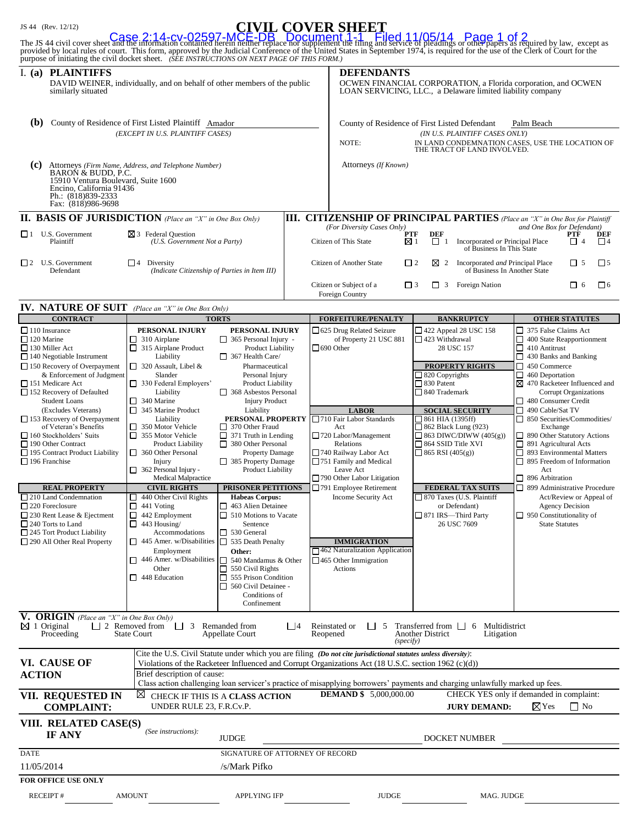### JS 44 (Rev. 12/12) **CIVIL COVER SHEET**

| provided by local rules of court. This form, approved by the Judicial Conference of the United States in September 1974, is required for the use of the Clerk of Court for the<br>purpose of initiating the civil docket sheet. (SEE INSTRUCTIONS ON NEXT PAGE OF THIS FORM.)                                                                                                                                                                                                                                                                                                                                                                                                  |                                                                                                                                                                                                                                                                                                                                                                                                                                                                                                                                                                                                                                                                                                 |                                                                                                                                                                                                                                                                                                                                                                                                                                                                                                                                                                                                                                                                                                            |          |                                                                                                                                                                                                                                                                                                                                                                                                                                                                                                   |                                                                                                                                                                                                                                                                                                                                                                                                                                                                                           | The JS 44 civil cover sheet and the information contained herein neither replace not supplement the filing and service of pleadings or other papers as required by law, except as                                                                                                                                                                                                                                                                                                                                                                                                                                                                                                                    |  |
|--------------------------------------------------------------------------------------------------------------------------------------------------------------------------------------------------------------------------------------------------------------------------------------------------------------------------------------------------------------------------------------------------------------------------------------------------------------------------------------------------------------------------------------------------------------------------------------------------------------------------------------------------------------------------------|-------------------------------------------------------------------------------------------------------------------------------------------------------------------------------------------------------------------------------------------------------------------------------------------------------------------------------------------------------------------------------------------------------------------------------------------------------------------------------------------------------------------------------------------------------------------------------------------------------------------------------------------------------------------------------------------------|------------------------------------------------------------------------------------------------------------------------------------------------------------------------------------------------------------------------------------------------------------------------------------------------------------------------------------------------------------------------------------------------------------------------------------------------------------------------------------------------------------------------------------------------------------------------------------------------------------------------------------------------------------------------------------------------------------|----------|---------------------------------------------------------------------------------------------------------------------------------------------------------------------------------------------------------------------------------------------------------------------------------------------------------------------------------------------------------------------------------------------------------------------------------------------------------------------------------------------------|-------------------------------------------------------------------------------------------------------------------------------------------------------------------------------------------------------------------------------------------------------------------------------------------------------------------------------------------------------------------------------------------------------------------------------------------------------------------------------------------|------------------------------------------------------------------------------------------------------------------------------------------------------------------------------------------------------------------------------------------------------------------------------------------------------------------------------------------------------------------------------------------------------------------------------------------------------------------------------------------------------------------------------------------------------------------------------------------------------------------------------------------------------------------------------------------------------|--|
| I. (a) PLAINTIFFS<br>similarly situated                                                                                                                                                                                                                                                                                                                                                                                                                                                                                                                                                                                                                                        | DAVID WEINER, individually, and on behalf of other members of the public                                                                                                                                                                                                                                                                                                                                                                                                                                                                                                                                                                                                                        |                                                                                                                                                                                                                                                                                                                                                                                                                                                                                                                                                                                                                                                                                                            |          | <b>DEFENDANTS</b><br>OCWEN FINANCIAL CORPORATION, a Florida corporation, and OCWEN<br>LOAN SERVICING, LLC., a Delaware limited liability company                                                                                                                                                                                                                                                                                                                                                  |                                                                                                                                                                                                                                                                                                                                                                                                                                                                                           |                                                                                                                                                                                                                                                                                                                                                                                                                                                                                                                                                                                                                                                                                                      |  |
| County of Residence of First Listed Plaintiff Amador<br>(b)<br>(EXCEPT IN U.S. PLAINTIFF CASES)                                                                                                                                                                                                                                                                                                                                                                                                                                                                                                                                                                                |                                                                                                                                                                                                                                                                                                                                                                                                                                                                                                                                                                                                                                                                                                 |                                                                                                                                                                                                                                                                                                                                                                                                                                                                                                                                                                                                                                                                                                            |          | NOTE:                                                                                                                                                                                                                                                                                                                                                                                                                                                                                             | County of Residence of First Listed Defendant<br>(IN U.S. PLAINTIFF CASES ONLY)<br>THE TRACT OF LAND INVOLVED.                                                                                                                                                                                                                                                                                                                                                                            | Palm Beach<br>IN LAND CONDEMNATION CASES, USE THE LOCATION OF                                                                                                                                                                                                                                                                                                                                                                                                                                                                                                                                                                                                                                        |  |
| (c)<br>Attorneys (Firm Name, Address, and Telephone Number)<br>BARON & BUDD, P.C.<br>15910 Ventura Boulevard, Suite 1600<br>Encino, California 91436<br>Ph.: (818)839-2333<br>Fax: (818)986-9698                                                                                                                                                                                                                                                                                                                                                                                                                                                                               |                                                                                                                                                                                                                                                                                                                                                                                                                                                                                                                                                                                                                                                                                                 |                                                                                                                                                                                                                                                                                                                                                                                                                                                                                                                                                                                                                                                                                                            |          | Attorneys (If Known)                                                                                                                                                                                                                                                                                                                                                                                                                                                                              |                                                                                                                                                                                                                                                                                                                                                                                                                                                                                           |                                                                                                                                                                                                                                                                                                                                                                                                                                                                                                                                                                                                                                                                                                      |  |
| <b>II. BASIS OF JURISDICTION</b> (Place an "X" in One Box Only)                                                                                                                                                                                                                                                                                                                                                                                                                                                                                                                                                                                                                |                                                                                                                                                                                                                                                                                                                                                                                                                                                                                                                                                                                                                                                                                                 |                                                                                                                                                                                                                                                                                                                                                                                                                                                                                                                                                                                                                                                                                                            |          |                                                                                                                                                                                                                                                                                                                                                                                                                                                                                                   |                                                                                                                                                                                                                                                                                                                                                                                                                                                                                           | <b>III. CITIZENSHIP OF PRINCIPAL PARTIES</b> (Place an "X" in One Box for Plaintiff                                                                                                                                                                                                                                                                                                                                                                                                                                                                                                                                                                                                                  |  |
| $\Box$ 1 U.S. Government<br>Plaintiff                                                                                                                                                                                                                                                                                                                                                                                                                                                                                                                                                                                                                                          | $\boxtimes$ 3 Federal Question<br>(U.S. Government Not a Party)                                                                                                                                                                                                                                                                                                                                                                                                                                                                                                                                                                                                                                 |                                                                                                                                                                                                                                                                                                                                                                                                                                                                                                                                                                                                                                                                                                            |          | (For Diversity Cases Only)<br>and One Box for Defendant)<br>PTF<br>DEF<br>PTF<br>DEF<br>$\Box$ 1<br>Citizen of This State<br>⊠ 1<br>Incorporated or Principal Place<br>$\Box$ 4<br>$\Box$<br>of Business In This State                                                                                                                                                                                                                                                                            |                                                                                                                                                                                                                                                                                                                                                                                                                                                                                           |                                                                                                                                                                                                                                                                                                                                                                                                                                                                                                                                                                                                                                                                                                      |  |
| $\Box$ 2 U.S. Government<br>Defendant                                                                                                                                                                                                                                                                                                                                                                                                                                                                                                                                                                                                                                          | $\Box$ 4 Diversity<br>(Indicate Citizenship of Parties in Item III)                                                                                                                                                                                                                                                                                                                                                                                                                                                                                                                                                                                                                             |                                                                                                                                                                                                                                                                                                                                                                                                                                                                                                                                                                                                                                                                                                            |          | Citizen of Another State<br>$\Box$ 2                                                                                                                                                                                                                                                                                                                                                                                                                                                              | ⊠<br>2                                                                                                                                                                                                                                                                                                                                                                                                                                                                                    | $\square$ 5<br>Incorporated and Principal Place<br>$\Box$ 5<br>of Business In Another State                                                                                                                                                                                                                                                                                                                                                                                                                                                                                                                                                                                                          |  |
|                                                                                                                                                                                                                                                                                                                                                                                                                                                                                                                                                                                                                                                                                |                                                                                                                                                                                                                                                                                                                                                                                                                                                                                                                                                                                                                                                                                                 |                                                                                                                                                                                                                                                                                                                                                                                                                                                                                                                                                                                                                                                                                                            |          | Citizen or Subject of a<br>$\Box$ 3<br>Foreign Country                                                                                                                                                                                                                                                                                                                                                                                                                                            | $\Box$ 3 Foreign Nation                                                                                                                                                                                                                                                                                                                                                                                                                                                                   | $\Box$ 6<br>$\Box$ 6                                                                                                                                                                                                                                                                                                                                                                                                                                                                                                                                                                                                                                                                                 |  |
| IV. NATURE OF SUIT (Place an "X" in One Box Only)                                                                                                                                                                                                                                                                                                                                                                                                                                                                                                                                                                                                                              |                                                                                                                                                                                                                                                                                                                                                                                                                                                                                                                                                                                                                                                                                                 |                                                                                                                                                                                                                                                                                                                                                                                                                                                                                                                                                                                                                                                                                                            |          |                                                                                                                                                                                                                                                                                                                                                                                                                                                                                                   |                                                                                                                                                                                                                                                                                                                                                                                                                                                                                           |                                                                                                                                                                                                                                                                                                                                                                                                                                                                                                                                                                                                                                                                                                      |  |
| <b>CONTRACT</b><br>110 Insurance<br>120 Marine<br>□ 130 Miller Act<br>$\Box$ 140 Negotiable Instrument<br>$\Box$ 150 Recovery of Overpayment<br>& Enforcement of Judgment<br>151 Medicare Act<br>$\Box$ 152 Recovery of Defaulted<br><b>Student Loans</b><br>(Excludes Veterans)<br>$\Box$ 153 Recovery of Overpayment<br>of Veteran's Benefits<br>$\Box$ 160 Stockholders' Suits<br>190 Other Contract<br>195 Contract Product Liability<br>$\Box$ 196 Franchise<br><b>REAL PROPERTY</b><br>$\Box$ 210 Land Condemnation<br>$\Box$ 220 Foreclosure<br>□ 230 Rent Lease & Ejectment<br>$\Box$ 240 Torts to Land<br>□ 245 Tort Product Liability<br>290 All Other Real Property | <b>TORTS</b><br>PERSONAL INJURY<br>$\Box$ 310 Airplane<br>$\Box$ 315 Airplane Product<br>Liability<br>$\Box$ 320 Assault, Libel &<br>Slander<br>$\Box$ 330 Federal Employers'<br>Liability<br>340 Marine<br>$\Box$ 345 Marine Product<br>Liability<br>350 Motor Vehicle<br>$\Box$ 355 Motor Vehicle<br>Product Liability<br>$\Box$ 360 Other Personal<br>Injury<br>362 Personal Injury -<br><b>Medical Malpractice</b><br><b>CIVIL RIGHTS</b><br>□<br>440 Other Civil Rights<br>□<br>441 Voting<br>442 Employment<br>□<br>443 Housing/<br>□<br>Accommodations<br>445 Amer. w/Disabilities   535 Death Penalty<br>Employment<br>$\Box$ 446 Amer. w/Disabilities<br>Other<br>$\Box$ 448 Education | PERSONAL INJURY<br>$\Box$ 365 Personal Injury -<br>Product Liability<br>$\Box$ 367 Health Care/<br>Pharmaceutical<br>Personal Injury<br><b>Product Liability</b><br>$\Box$ 368 Asbestos Personal<br><b>Injury Product</b><br>Liability<br>$\Box$ 370 Other Fraud<br>$\Box$ 371 Truth in Lending<br>$\Box$ 380 Other Personal<br>Property Damage<br>$\Box$ 385 Property Damage<br><b>Product Liability</b><br><b>PRISONER PETITIONS</b><br><b>Habeas Corpus:</b><br>$\Box$ 463 Alien Detainee<br>$\Box$ 510 Motions to Vacate<br>Sentence<br>$\Box$ 530 General<br>Other:<br>$\Box$ 540 Mandamus & Other<br>$\Box$ 550 Civil Rights<br>555 Prison Condition<br>$\Box$ 560 Civil Detainee -<br>Conditions of |          | <b>FORFEITURE/PENALTY</b><br>□ 625 Drug Related Seizure<br>of Property 21 USC 881<br>$\Box$ 690 Other<br><b>LABOR</b><br><b>PERSONAL PROPERTY</b> 710 Fair Labor Standards<br>Act<br>$\Box$ 720 Labor/Management<br>Relations<br>□ 740 Railway Labor Act<br>$\Box$ 751 Family and Medical<br>Leave Act<br>790 Other Labor Litigation<br>$\Box$ 791 Employee Retirement<br>Income Security Act<br><b>IMMIGRATION</b><br>1462 Naturalization Application<br>$\Box$ 465 Other Immigration<br>Actions | <b>BANKRUPTCY</b><br>$\Box$ 422 Appeal 28 USC 158<br>$\Box$ 423 Withdrawal<br>28 USC 157<br><b>PROPERTY RIGHTS</b><br>$\Box$ 820 Copyrights<br>$\Box$ 830 Patent<br>□ 840 Trademark<br><b>SOCIAL SECURITY</b><br>$\Box$ 861 HIA (1395ff)<br>$\Box$ 862 Black Lung (923)<br>$\Box$ 863 DIWC/DIWW (405(g))<br>$\Box$ 864 SSID Title XVI<br>$\Box$ 865 RSI (405(g))<br><b>FEDERAL TAX SUITS</b><br>$\Box$ 870 Taxes (U.S. Plaintiff<br>or Defendant)<br>□ 871 IRS-Third Party<br>26 USC 7609 | <b>OTHER STATUTES</b><br>375 False Claims Act<br>$\Box$ 400 State Reapportionment<br>$\Box$ 410 Antitrust<br>$\Box$ 430 Banks and Banking<br>$\Box$ 450 Commerce<br>$\Box$ 460 Deportation<br>$\boxtimes$ 470 Racketeer Influenced and<br><b>Corrupt Organizations</b><br>480 Consumer Credit<br>$\Box$ 490 Cable/Sat TV<br>$\Box$ 850 Securities/Commodities/<br>Exchange<br>890 Other Statutory Actions<br>$\Box$ 891 Agricultural Acts<br>893 Environmental Matters<br>□<br>$\Box$ 895 Freedom of Information<br>Act<br>$\Box$ 896 Arbitration<br>□ 899 Administrative Procedure<br>Act/Review or Appeal of<br><b>Agency Decision</b><br>$\Box$ 950 Constitutionality of<br><b>State Statutes</b> |  |
| V. ORIGIN (Place an "X" in One Box Only)<br>$\boxtimes$ 1 Original<br>Proceeding                                                                                                                                                                                                                                                                                                                                                                                                                                                                                                                                                                                               | 2 Removed from 3 Remanded from<br><b>State Court</b>                                                                                                                                                                                                                                                                                                                                                                                                                                                                                                                                                                                                                                            | Confinement<br>Appellate Court                                                                                                                                                                                                                                                                                                                                                                                                                                                                                                                                                                                                                                                                             | $\Box$ 4 | Reinstated or<br>115<br>Reopened<br>(specify)                                                                                                                                                                                                                                                                                                                                                                                                                                                     | Transferred from $\Box$ 6<br><b>Another District</b>                                                                                                                                                                                                                                                                                                                                                                                                                                      | Multidistrict<br>Litigation                                                                                                                                                                                                                                                                                                                                                                                                                                                                                                                                                                                                                                                                          |  |
| VI. CAUSE OF<br><b>ACTION</b>                                                                                                                                                                                                                                                                                                                                                                                                                                                                                                                                                                                                                                                  | Brief description of cause:                                                                                                                                                                                                                                                                                                                                                                                                                                                                                                                                                                                                                                                                     |                                                                                                                                                                                                                                                                                                                                                                                                                                                                                                                                                                                                                                                                                                            |          | Cite the U.S. Civil Statute under which you are filing (Do not cite jurisdictional statutes unless diversity):<br>Violations of the Racketeer Influenced and Corrupt Organizations Act (18 U.S.C. section 1962 (c)(d))<br>Class action challenging loan servicer's practice of misapplying borrowers' payments and charging unlawfully marked up fees.                                                                                                                                            |                                                                                                                                                                                                                                                                                                                                                                                                                                                                                           |                                                                                                                                                                                                                                                                                                                                                                                                                                                                                                                                                                                                                                                                                                      |  |
| VII. REQUESTED IN<br><b>COMPLAINT:</b>                                                                                                                                                                                                                                                                                                                                                                                                                                                                                                                                                                                                                                         | $\boxtimes$<br>CHECK IF THIS IS A CLASS ACTION<br>UNDER RULE 23, F.R.Cv.P.                                                                                                                                                                                                                                                                                                                                                                                                                                                                                                                                                                                                                      |                                                                                                                                                                                                                                                                                                                                                                                                                                                                                                                                                                                                                                                                                                            |          | <b>DEMAND \$5,000,000.00</b>                                                                                                                                                                                                                                                                                                                                                                                                                                                                      | <b>JURY DEMAND:</b>                                                                                                                                                                                                                                                                                                                                                                                                                                                                       | CHECK YES only if demanded in complaint:<br>$\boxtimes$ Yes<br>$\Box$ No                                                                                                                                                                                                                                                                                                                                                                                                                                                                                                                                                                                                                             |  |
| VIII. RELATED CASE(S)<br><b>IF ANY</b>                                                                                                                                                                                                                                                                                                                                                                                                                                                                                                                                                                                                                                         | (See instructions):                                                                                                                                                                                                                                                                                                                                                                                                                                                                                                                                                                                                                                                                             | JUDGE                                                                                                                                                                                                                                                                                                                                                                                                                                                                                                                                                                                                                                                                                                      |          |                                                                                                                                                                                                                                                                                                                                                                                                                                                                                                   | DOCKET NUMBER                                                                                                                                                                                                                                                                                                                                                                                                                                                                             |                                                                                                                                                                                                                                                                                                                                                                                                                                                                                                                                                                                                                                                                                                      |  |
| <b>DATE</b><br>11/05/2014                                                                                                                                                                                                                                                                                                                                                                                                                                                                                                                                                                                                                                                      |                                                                                                                                                                                                                                                                                                                                                                                                                                                                                                                                                                                                                                                                                                 | SIGNATURE OF ATTORNEY OF RECORD<br>/s/Mark Pifko                                                                                                                                                                                                                                                                                                                                                                                                                                                                                                                                                                                                                                                           |          |                                                                                                                                                                                                                                                                                                                                                                                                                                                                                                   |                                                                                                                                                                                                                                                                                                                                                                                                                                                                                           |                                                                                                                                                                                                                                                                                                                                                                                                                                                                                                                                                                                                                                                                                                      |  |
| FOR OFFICE USE ONLY                                                                                                                                                                                                                                                                                                                                                                                                                                                                                                                                                                                                                                                            |                                                                                                                                                                                                                                                                                                                                                                                                                                                                                                                                                                                                                                                                                                 |                                                                                                                                                                                                                                                                                                                                                                                                                                                                                                                                                                                                                                                                                                            |          |                                                                                                                                                                                                                                                                                                                                                                                                                                                                                                   |                                                                                                                                                                                                                                                                                                                                                                                                                                                                                           |                                                                                                                                                                                                                                                                                                                                                                                                                                                                                                                                                                                                                                                                                                      |  |
| <b>RECEIPT#</b>                                                                                                                                                                                                                                                                                                                                                                                                                                                                                                                                                                                                                                                                | <b>AMOUNT</b>                                                                                                                                                                                                                                                                                                                                                                                                                                                                                                                                                                                                                                                                                   | APPLYING IFP                                                                                                                                                                                                                                                                                                                                                                                                                                                                                                                                                                                                                                                                                               |          | <b>JUDGE</b>                                                                                                                                                                                                                                                                                                                                                                                                                                                                                      |                                                                                                                                                                                                                                                                                                                                                                                                                                                                                           | MAG. JUDGE                                                                                                                                                                                                                                                                                                                                                                                                                                                                                                                                                                                                                                                                                           |  |